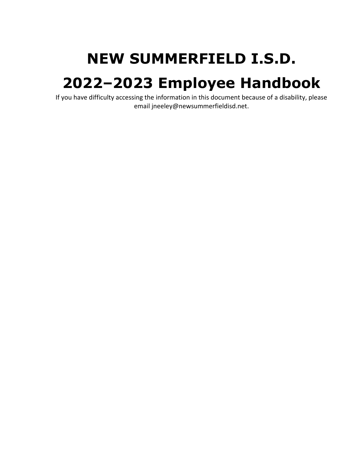# **NEW SUMMERFIELD I.S.D.**

# **2022–2023 Employee Handbook**

If you have difficulty accessing the information in this document because of a disability, please email jneeley@newsummerfieldisd.net.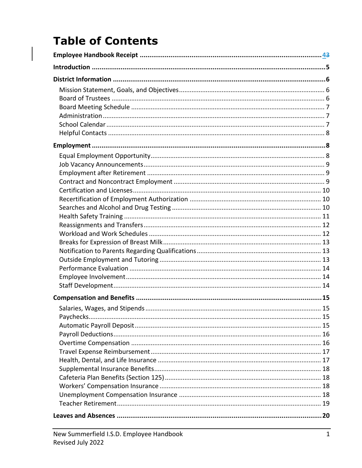# **Table of Contents**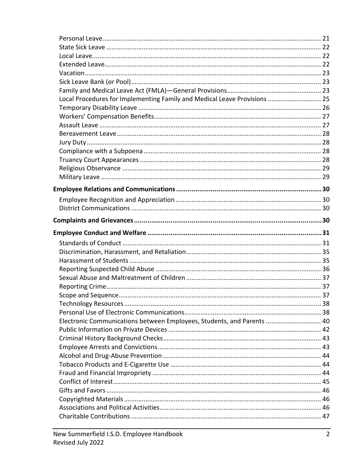| Local Procedures for Implementing Family and Medical Leave Provisions  25 |  |
|---------------------------------------------------------------------------|--|
|                                                                           |  |
|                                                                           |  |
|                                                                           |  |
|                                                                           |  |
|                                                                           |  |
|                                                                           |  |
|                                                                           |  |
|                                                                           |  |
|                                                                           |  |
|                                                                           |  |
|                                                                           |  |
|                                                                           |  |
|                                                                           |  |
|                                                                           |  |
|                                                                           |  |
|                                                                           |  |
|                                                                           |  |
|                                                                           |  |
|                                                                           |  |
|                                                                           |  |
|                                                                           |  |
|                                                                           |  |
|                                                                           |  |
|                                                                           |  |
|                                                                           |  |
|                                                                           |  |
| Electronic Communications between Employees, Students, and Parents  40    |  |
|                                                                           |  |
|                                                                           |  |
|                                                                           |  |
|                                                                           |  |
|                                                                           |  |
|                                                                           |  |
|                                                                           |  |
|                                                                           |  |
|                                                                           |  |
|                                                                           |  |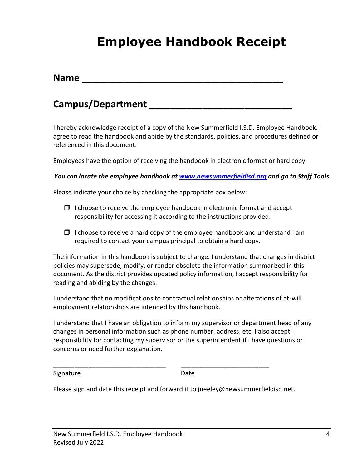# **Employee Handbook Receipt**

| <b>Name</b> |  |  |  |
|-------------|--|--|--|
|             |  |  |  |
|             |  |  |  |

#### **Campus/Department \_\_\_\_\_\_\_\_\_\_\_\_\_\_\_\_\_\_\_\_\_\_\_\_\_\_\_**

I hereby acknowledge receipt of a copy of the New Summerfield I.S.D. Employee Handbook. I agree to read the handbook and abide by the standards, policies, and procedures defined or referenced in this document.

Employees have the option of receiving the handbook in electronic format or hard copy.

*You can locate the employee handbook at [www.newsummerfieldisd.org](http://www.newsummerfieldisd.org/) and go to Staff Tools*

Please indicate your choice by checking the appropriate box below:

- $\Box$  I choose to receive the employee handbook in electronic format and accept responsibility for accessing it according to the instructions provided.
- $\Box$  I choose to receive a hard copy of the employee handbook and understand I am required to contact your campus principal to obtain a hard copy.

The information in this handbook is subject to change. I understand that changes in district policies may supersede, modify, or render obsolete the information summarized in this document. As the district provides updated policy information, I accept responsibility for reading and abiding by the changes.

I understand that no modifications to contractual relationships or alterations of at-will employment relationships are intended by this handbook.

I understand that I have an obligation to inform my supervisor or department head of any changes in personal information such as phone number, address, etc. I also accept responsibility for contacting my supervisor or the superintendent if I have questions or concerns or need further explanation.

Signature Date Date

Please sign and date this receipt and forward it to jneeley@newsummerfieldisd.net.

\_\_\_\_\_\_\_\_\_\_\_\_\_\_\_\_\_\_\_\_\_\_\_\_\_\_\_\_\_\_\_\_ \_\_\_\_\_\_\_\_\_\_\_\_\_\_\_\_\_\_\_\_\_\_\_\_\_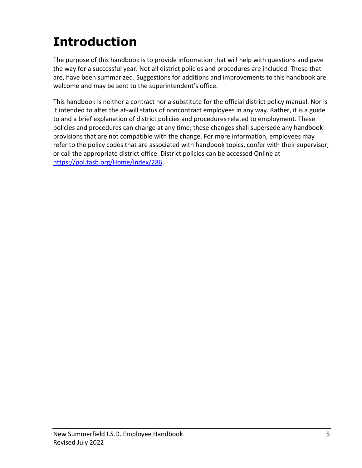# **Introduction**

The purpose of this handbook is to provide information that will help with questions and pave the way for a successful year. Not all district policies and procedures are included. Those that are, have been summarized. Suggestions for additions and improvements to this handbook are welcome and may be sent to the superintendent's office.

This handbook is neither a contract nor a substitute for the official district policy manual. Nor is it intended to alter the at-will status of noncontract employees in any way. Rather, it is a guide to and a brief explanation of district policies and procedures related to employment. These policies and procedures can change at any time; these changes shall supersede any handbook provisions that are not compatible with the change. For more information, employees may refer to the policy codes that are associated with handbook topics, confer with their supervisor, or call the appropriate district office. District policies can be accessed Online at [https://pol.tasb.org/Home/Index/286.](https://pol.tasb.org/Home/Index/286)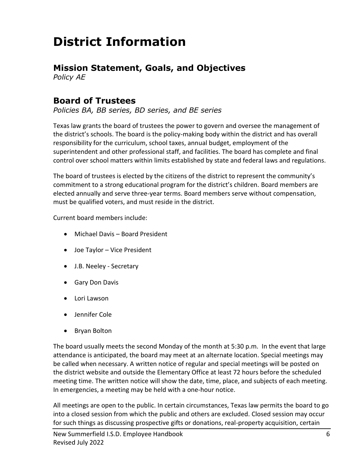# **District Information**

### **Mission Statement, Goals, and Objectives**

*Policy AE*

#### **Board of Trustees**

*Policies BA, BB series, BD series, and BE series*

Texas law grants the board of trustees the power to govern and oversee the management of the district's schools. The board is the policy-making body within the district and has overall responsibility for the curriculum, school taxes, annual budget, employment of the superintendent and other professional staff, and facilities. The board has complete and final control over school matters within limits established by state and federal laws and regulations.

The board of trustees is elected by the citizens of the district to represent the community's commitment to a strong educational program for the district's children. Board members are elected annually and serve three-year terms. Board members serve without compensation, must be qualified voters, and must reside in the district.

Current board members include:

- Michael Davis Board President
- Joe Taylor Vice President
- J.B. Neeley Secretary
- Gary Don Davis
- Lori Lawson
- Jennifer Cole
- Bryan Bolton

The board usually meets the second Monday of the month at 5:30 p.m. In the event that large attendance is anticipated, the board may meet at an alternate location. Special meetings may be called when necessary. A written notice of regular and special meetings will be posted on the district website and outside the Elementary Office at least 72 hours before the scheduled meeting time. The written notice will show the date, time, place, and subjects of each meeting. In emergencies, a meeting may be held with a one-hour notice.

All meetings are open to the public. In certain circumstances, Texas law permits the board to go into a closed session from which the public and others are excluded. Closed session may occur for such things as discussing prospective gifts or donations, real-property acquisition, certain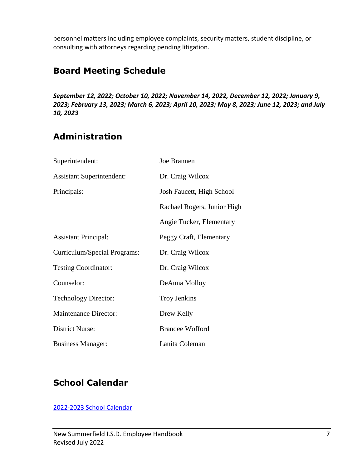personnel matters including employee complaints, security matters, student discipline, or consulting with attorneys regarding pending litigation.

### **Board Meeting Schedule**

*September 12, 2022; October 10, 2022; November 14, 2022, December 12, 2022; January 9, 2023; February 13, 2023; March 6, 2023; April 10, 2023; May 8, 2023; June 12, 2023; and July 10, 2023*

## **Administration**

| Superintendent:                  | Joe Brannen                 |
|----------------------------------|-----------------------------|
| <b>Assistant Superintendent:</b> | Dr. Craig Wilcox            |
| Principals:                      | Josh Faucett, High School   |
|                                  | Rachael Rogers, Junior High |
|                                  | Angie Tucker, Elementary    |
| <b>Assistant Principal:</b>      | Peggy Craft, Elementary     |
| Curriculum/Special Programs:     | Dr. Craig Wilcox            |
| <b>Testing Coordinator:</b>      | Dr. Craig Wilcox            |
| Counselor:                       | DeAnna Molloy               |
| <b>Technology Director:</b>      | <b>Troy Jenkins</b>         |
| <b>Maintenance Director:</b>     | Drew Kelly                  |
| <b>District Nurse:</b>           | <b>Brandee Wofford</b>      |
| <b>Business Manager:</b>         | Lanita Coleman              |

### **School Calendar**

[2022-2023 School Calendar](https://www.newsummerfieldisd.org/cms/lib5/TX01917270/Centricity/Domain/4/2022-2023%20New%20Summerfield%204%20Day%20-%20Teacher.pdf)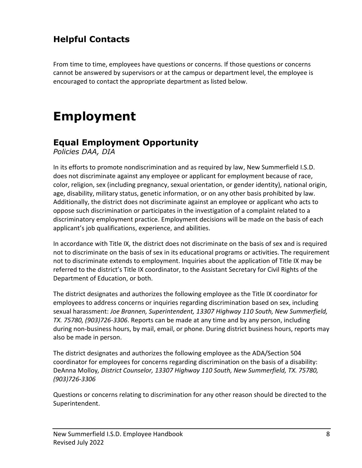## **Helpful Contacts**

From time to time, employees have questions or concerns. If those questions or concerns cannot be answered by supervisors or at the campus or department level, the employee is encouraged to contact the appropriate department as listed below.

# **Employment**

#### **Equal Employment Opportunity**

*Policies DAA, DIA*

In its efforts to promote nondiscrimination and as required by law, New Summerfield I.S.D. does not discriminate against any employee or applicant for employment because of race, color, religion, sex (including pregnancy, sexual orientation, or gender identity), national origin, age, disability, military status, genetic information, or on any other basis prohibited by law. Additionally, the district does not discriminate against an employee or applicant who acts to oppose such discrimination or participates in the investigation of a complaint related to a discriminatory employment practice. Employment decisions will be made on the basis of each applicant's job qualifications, experience, and abilities.

In accordance with Title IX, the district does not discriminate on the basis of sex and is required not to discriminate on the basis of sex in its educational programs or activities. The requirement not to discriminate extends to employment. Inquiries about the application of Title IX may be referred to the district's Title IX coordinator, to the Assistant Secretary for Civil Rights of the Department of Education, or both.

The district designates and authorizes the following employee as the Title IX coordinator for employees to address concerns or inquiries regarding discrimination based on sex, including sexual harassment: *Joe Brannen, Superintendent, 13307 Highway 110 South, New Summerfield, TX. 75780, (903)726-3306*. Reports can be made at any time and by any person, including during non-business hours, by mail, email, or phone. During district business hours, reports may also be made in person.

The district designates and authorizes the following employee as the ADA/Section 504 coordinator for employees for concerns regarding discrimination on the basis of a disability: DeAnna Molloy*, District Counselor, 13307 Highway 110 South, New Summerfield, TX. 75780, (903)726-3306*

Questions or concerns relating to discrimination for any other reason should be directed to the Superintendent.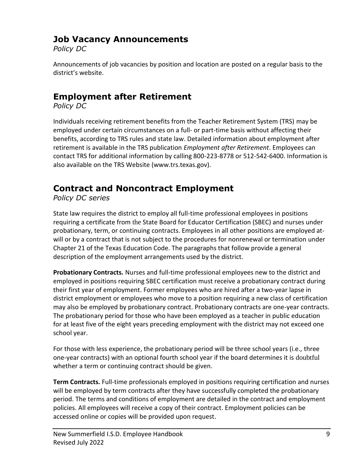#### **Job Vacancy Announcements**

*Policy DC*

Announcements of job vacancies by position and location are posted on a regular basis to the district's website.

### **Employment after Retirement**

*Policy DC*

Individuals receiving retirement benefits from the Teacher Retirement System (TRS) may be employed under certain circumstances on a full- or part-time basis without affecting their benefits, according to TRS rules and state law. Detailed information about employment after retirement is available in the TRS publication *Employment after Retirement*. Employees can contact TRS for additional information by calling 800-223-8778 or 512-542-6400. Information is also available on the TRS Website (www.trs.texas.gov).

### **Contract and Noncontract Employment**

*Policy DC series*

State law requires the district to employ all full-time professional employees in positions requiring a certificate from the State Board for Educator Certification (SBEC) and nurses under probationary, term, or continuing contracts. Employees in all other positions are employed atwill or by a contract that is not subject to the procedures for nonrenewal or termination under Chapter 21 of the Texas Education Code. The paragraphs that follow provide a general description of the employment arrangements used by the district.

**Probationary Contracts.** Nurses and full-time professional employees new to the district and employed in positions requiring SBEC certification must receive a probationary contract during their first year of employment. Former employees who are hired after a two-year lapse in district employment or employees who move to a position requiring a new class of certification may also be employed by probationary contract. Probationary contracts are one-year contracts. The probationary period for those who have been employed as a teacher in public education for at least five of the eight years preceding employment with the district may not exceed one school year.

For those with less experience, the probationary period will be three school years (i.e., three one-year contracts) with an optional fourth school year if the board determines it is doubtful whether a term or continuing contract should be given.

**Term Contracts.** Full-time professionals employed in positions requiring certification and nurses will be employed by term contracts after they have successfully completed the probationary period. The terms and conditions of employment are detailed in the contract and employment policies. All employees will receive a copy of their contract. Employment policies can be accessed online or copies will be provided upon request.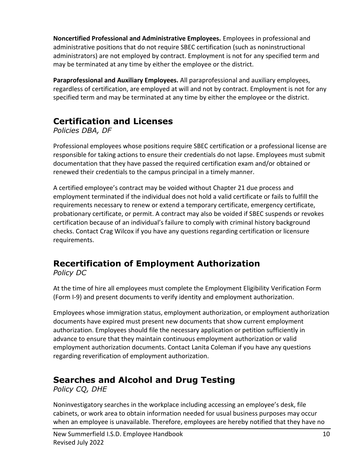**Noncertified Professional and Administrative Employees.** Employees in professional and administrative positions that do not require SBEC certification (such as noninstructional administrators) are not employed by contract. Employment is not for any specified term and may be terminated at any time by either the employee or the district.

**Paraprofessional and Auxiliary Employees.** All paraprofessional and auxiliary employees, regardless of certification, are employed at will and not by contract. Employment is not for any specified term and may be terminated at any time by either the employee or the district.

### **Certification and Licenses**

*Policies DBA, DF*

Professional employees whose positions require SBEC certification or a professional license are responsible for taking actions to ensure their credentials do not lapse. Employees must submit documentation that they have passed the required certification exam and/or obtained or renewed their credentials to the campus principal in a timely manner.

A certified employee's contract may be voided without Chapter 21 due process and employment terminated if the individual does not hold a valid certificate or fails to fulfill the requirements necessary to renew or extend a temporary certificate, emergency certificate, probationary certificate, or permit. A contract may also be voided if SBEC suspends or revokes certification because of an individual's failure to comply with criminal history background checks. Contact Crag Wilcox if you have any questions regarding certification or licensure requirements.

# **Recertification of Employment Authorization**

*Policy DC*

At the time of hire all employees must complete the Employment Eligibility Verification Form (Form I-9) and present documents to verify identity and employment authorization.

Employees whose immigration status, employment authorization, or employment authorization documents have expired must present new documents that show current employment authorization. Employees should file the necessary application or petition sufficiently in advance to ensure that they maintain continuous employment authorization or valid employment authorization documents. Contact Lanita Coleman if you have any questions regarding reverification of employment authorization.

### **Searches and Alcohol and Drug Testing**

*Policy CQ, DHE*

Noninvestigatory searches in the workplace including accessing an employee's desk, file cabinets, or work area to obtain information needed for usual business purposes may occur when an employee is unavailable. Therefore, employees are hereby notified that they have no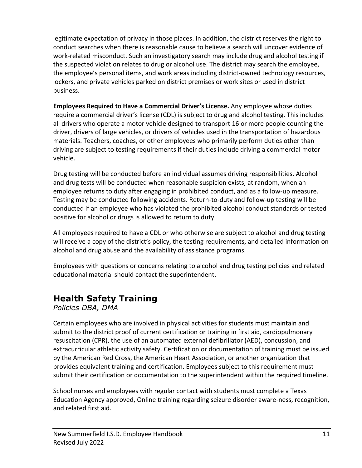legitimate expectation of privacy in those places. In addition, the district reserves the right to conduct searches when there is reasonable cause to believe a search will uncover evidence of work-related misconduct. Such an investigatory search may include drug and alcohol testing if the suspected violation relates to drug or alcohol use. The district may search the employee, the employee's personal items, and work areas including district-owned technology resources, lockers, and private vehicles parked on district premises or work sites or used in district business.

**Employees Required to Have a Commercial Driver's License.** Any employee whose duties require a commercial driver's license (CDL) is subject to drug and alcohol testing. This includes all drivers who operate a motor vehicle designed to transport 16 or more people counting the driver, drivers of large vehicles, or drivers of vehicles used in the transportation of hazardous materials. Teachers, coaches, or other employees who primarily perform duties other than driving are subject to testing requirements if their duties include driving a commercial motor vehicle.

Drug testing will be conducted before an individual assumes driving responsibilities. Alcohol and drug tests will be conducted when reasonable suspicion exists, at random, when an employee returns to duty after engaging in prohibited conduct, and as a follow-up measure. Testing may be conducted following accidents. Return-to-duty and follow-up testing will be conducted if an employee who has violated the prohibited alcohol conduct standards or tested positive for alcohol or drugs is allowed to return to duty.

All employees required to have a CDL or who otherwise are subject to alcohol and drug testing will receive a copy of the district's policy, the testing requirements, and detailed information on alcohol and drug abuse and the availability of assistance programs.

Employees with questions or concerns relating to alcohol and drug testing policies and related educational material should contact the superintendent.

# **Health Safety Training**

*Policies DBA, DMA*

Certain employees who are involved in physical activities for students must maintain and submit to the district proof of current certification or training in first aid, cardiopulmonary resuscitation (CPR), the use of an automated external defibrillator (AED), concussion, and extracurricular athletic activity safety. Certification or documentation of training must be issued by the American Red Cross, the American Heart Association, or another organization that provides equivalent training and certification. Employees subject to this requirement must submit their certification or documentation to the superintendent within the required timeline.

School nurses and employees with regular contact with students must complete a Texas Education Agency approved, Online training regarding seizure disorder aware-ness, recognition, and related first aid.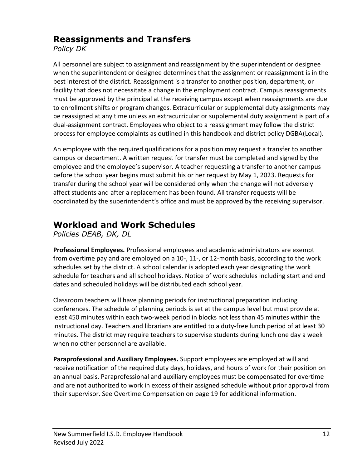#### **Reassignments and Transfers**

*Policy DK*

All personnel are subject to assignment and reassignment by the superintendent or designee when the superintendent or designee determines that the assignment or reassignment is in the best interest of the district. Reassignment is a transfer to another position, department, or facility that does not necessitate a change in the employment contract. Campus reassignments must be approved by the principal at the receiving campus except when reassignments are due to enrollment shifts or program changes. Extracurricular or supplemental duty assignments may be reassigned at any time unless an extracurricular or supplemental duty assignment is part of a dual-assignment contract. Employees who object to a reassignment may follow the district process for employee complaints as outlined in this handbook and district policy DGBA(Local).

An employee with the required qualifications for a position may request a transfer to another campus or department. A written request for transfer must be completed and signed by the employee and the employee's supervisor. A teacher requesting a transfer to another campus before the school year begins must submit his or her request by May 1, 2023. Requests for transfer during the school year will be considered only when the change will not adversely affect students and after a replacement has been found. All transfer requests will be coordinated by the superintendent's office and must be approved by the receiving supervisor.

# **Workload and Work Schedules**

*Policies DEAB, DK, DL*

**Professional Employees.** Professional employees and academic administrators are exempt from overtime pay and are employed on a 10-, 11-, or 12-month basis, according to the work schedules set by the district. A school calendar is adopted each year designating the work schedule for teachers and all school holidays. Notice of work schedules including start and end dates and scheduled holidays will be distributed each school year.

Classroom teachers will have planning periods for instructional preparation including conferences. The schedule of planning periods is set at the campus level but must provide at least 450 minutes within each two-week period in blocks not less than 45 minutes within the instructional day. Teachers and librarians are entitled to a duty-free lunch period of at least 30 minutes. The district may require teachers to supervise students during lunch one day a week when no other personnel are available.

**Paraprofessional and Auxiliary Employees.** Support employees are employed at will and receive notification of the required duty days, holidays, and hours of work for their position on an annual basis. Paraprofessional and auxiliary employees must be compensated for overtime and are not authorized to work in excess of their assigned schedule without prior approval from their supervisor. See Overtime Compensation on page 19 for additional information.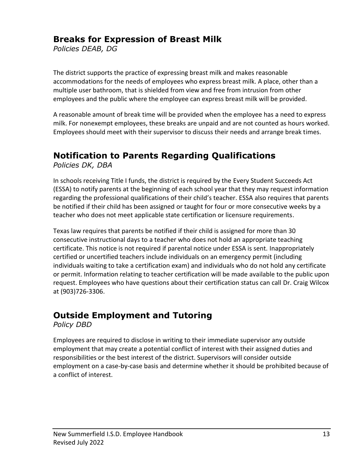#### **Breaks for Expression of Breast Milk**

*Policies DEAB, DG*

The district supports the practice of expressing breast milk and makes reasonable accommodations for the needs of employees who express breast milk. A place, other than a multiple user bathroom, that is shielded from view and free from intrusion from other employees and the public where the employee can express breast milk will be provided.

A reasonable amount of break time will be provided when the employee has a need to express milk. For nonexempt employees, these breaks are unpaid and are not counted as hours worked. Employees should meet with their supervisor to discuss their needs and arrange break times.

#### **Notification to Parents Regarding Qualifications**

*Policies DK, DBA*

In schools receiving Title I funds, the district is required by the Every Student Succeeds Act (ESSA) to notify parents at the beginning of each school year that they may request information regarding the professional qualifications of their child's teacher. ESSA also requires that parents be notified if their child has been assigned or taught for four or more consecutive weeks by a teacher who does not meet applicable state certification or licensure requirements.

Texas law requires that parents be notified if their child is assigned for more than 30 consecutive instructional days to a teacher who does not hold an appropriate teaching certificate. This notice is not required if parental notice under ESSA is sent. Inappropriately certified or uncertified teachers include individuals on an emergency permit (including individuals waiting to take a certification exam) and individuals who do not hold any certificate or permit. Information relating to teacher certification will be made available to the public upon request. Employees who have questions about their certification status can call Dr. Craig Wilcox at (903)726-3306.

#### **Outside Employment and Tutoring**

*Policy DBD*

Employees are required to disclose in writing to their immediate supervisor any outside employment that may create a potential conflict of interest with their assigned duties and responsibilities or the best interest of the district. Supervisors will consider outside employment on a case-by-case basis and determine whether it should be prohibited because of a conflict of interest.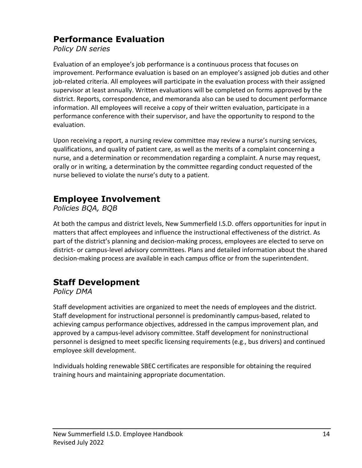#### **Performance Evaluation**

*Policy DN series*

Evaluation of an employee's job performance is a continuous process that focuses on improvement. Performance evaluation is based on an employee's assigned job duties and other job-related criteria. All employees will participate in the evaluation process with their assigned supervisor at least annually. Written evaluations will be completed on forms approved by the district. Reports, correspondence, and memoranda also can be used to document performance information. All employees will receive a copy of their written evaluation, participate in a performance conference with their supervisor, and have the opportunity to respond to the evaluation.

Upon receiving a report, a nursing review committee may review a nurse's nursing services, qualifications, and quality of patient care, as well as the merits of a complaint concerning a nurse, and a determination or recommendation regarding a complaint. A nurse may request, orally or in writing, a determination by the committee regarding conduct requested of the nurse believed to violate the nurse's duty to a patient.

### **Employee Involvement**

*Policies BQA, BQB*

At both the campus and district levels, New Summerfield I.S.D. offers opportunities for input in matters that affect employees and influence the instructional effectiveness of the district. As part of the district's planning and decision-making process, employees are elected to serve on district- or campus-level advisory committees. Plans and detailed information about the shared decision-making process are available in each campus office or from the superintendent.

### **Staff Development**

*Policy DMA*

Staff development activities are organized to meet the needs of employees and the district. Staff development for instructional personnel is predominantly campus-based, related to achieving campus performance objectives, addressed in the campus improvement plan, and approved by a campus-level advisory committee. Staff development for noninstructional personnel is designed to meet specific licensing requirements (e.g., bus drivers) and continued employee skill development.

Individuals holding renewable SBEC certificates are responsible for obtaining the required training hours and maintaining appropriate documentation.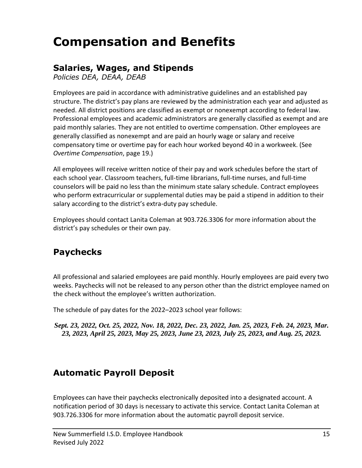# **Compensation and Benefits**

#### **Salaries, Wages, and Stipends**

*Policies DEA, DEAA, DEAB*

Employees are paid in accordance with administrative guidelines and an established pay structure. The district's pay plans are reviewed by the administration each year and adjusted as needed. All district positions are classified as exempt or nonexempt according to federal law. Professional employees and academic administrators are generally classified as exempt and are paid monthly salaries. They are not entitled to overtime compensation. Other employees are generally classified as nonexempt and are paid an hourly wage or salary and receive compensatory time or overtime pay for each hour worked beyond 40 in a workweek. (See *Overtime Compensation*, page 19.)

All employees will receive written notice of their pay and work schedules before the start of each school year. Classroom teachers, full-time librarians, full-time nurses, and full-time counselors will be paid no less than the minimum state salary schedule. Contract employees who perform extracurricular or supplemental duties may be paid a stipend in addition to their salary according to the district's extra-duty pay schedule.

Employees should contact Lanita Coleman at 903.726.3306 for more information about the district's pay schedules or their own pay.

# **Paychecks**

All professional and salaried employees are paid monthly. Hourly employees are paid every two weeks. Paychecks will not be released to any person other than the district employee named on the check without the employee's written authorization.

The schedule of pay dates for the 2022–2023 school year follows:

*Sept. 23, 2022, Oct. 25, 2022, Nov. 18, 2022, Dec. 23, 2022, Jan. 25, 2023, Feb. 24, 2023, Mar. 23, 2023, April 25, 2023, May 25, 2023, June 23, 2023, July 25, 2023, and Aug. 25, 2023.*

### **Automatic Payroll Deposit**

Employees can have their paychecks electronically deposited into a designated account. A notification period of 30 days is necessary to activate this service. Contact Lanita Coleman at 903.726.3306 for more information about the automatic payroll deposit service.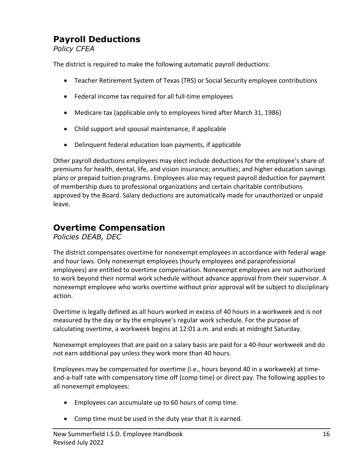### **Payroll Deductions**

*Policy CFEA*

The district is required to make the following automatic payroll deductions:

- Teacher Retirement System of Texas (TRS) or Social Security employee contributions
- Federal income tax required for all full-time employees
- Medicare tax (applicable only to employees hired after March 31, 1986)
- Child support and spousal maintenance, if applicable
- Delinquent federal education loan payments, if applicable

Other payroll deductions employees may elect include deductions for the employee's share of premiums for health, dental, life, and vision insurance; annuities; and higher education savings plans or prepaid tuition programs. Employees also may request payroll deduction for payment of membership dues to professional organizations and certain charitable contributions approved by the Board. Salary deductions are automatically made for unauthorized or unpaid leave.

#### **Overtime Compensation**

*Policies DEAB, DEC*

The district compensates overtime for nonexempt employees in accordance with federal wage and hour laws. Only nonexempt employees (hourly employees and paraprofessional employees) are entitled to overtime compensation. Nonexempt employees are not authorized to work beyond their normal work schedule without advance approval from their supervisor. A nonexempt employee who works overtime without prior approval will be subject to disciplinary action.

Overtime is legally defined as all hours worked in excess of 40 hours in a workweek and is not measured by the day or by the employee's regular work schedule. For the purpose of calculating overtime, a workweek begins at 12:01 a.m. and ends at midnight Saturday.

Nonexempt employees that are paid on a salary basis are paid for a 40-hour workweek and do not earn additional pay unless they work more than 40 hours.

Employees may be compensated for overtime (i.e., hours beyond 40 in a workweek) at timeand-a-half rate with compensatory time off (comp time) or direct pay. The following applies to all nonexempt employees:

- Employees can accumulate up to 60 hours of comp time.
- Comp time must be used in the duty year that it is earned.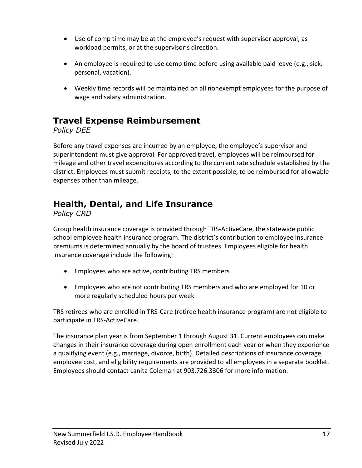- Use of comp time may be at the employee's request with supervisor approval, as workload permits, or at the supervisor's direction.
- An employee is required to use comp time before using available paid leave (e.g., sick, personal, vacation).
- Weekly time records will be maintained on all nonexempt employees for the purpose of wage and salary administration.

#### **Travel Expense Reimbursement**

#### *Policy DEE*

Before any travel expenses are incurred by an employee, the employee's supervisor and superintendent must give approval. For approved travel, employees will be reimbursed for mileage and other travel expenditures according to the current rate schedule established by the district. Employees must submit receipts, to the extent possible, to be reimbursed for allowable expenses other than mileage.

#### **Health, Dental, and Life Insurance**

*Policy CRD*

Group health insurance coverage is provided through TRS-ActiveCare, the statewide public school employee health insurance program. The district's contribution to employee insurance premiums is determined annually by the board of trustees. Employees eligible for health insurance coverage include the following:

- Employees who are active, contributing TRS members
- Employees who are not contributing TRS members and who are employed for 10 or more regularly scheduled hours per week

TRS retirees who are enrolled in TRS-Care (retiree health insurance program) are not eligible to participate in TRS-ActiveCare.

The insurance plan year is from September 1 through August 31. Current employees can make changes in their insurance coverage during open enrollment each year or when they experience a qualifying event (e.g., marriage, divorce, birth). Detailed descriptions of insurance coverage, employee cost, and eligibility requirements are provided to all employees in a separate booklet. Employees should contact Lanita Coleman at 903.726.3306 for more information.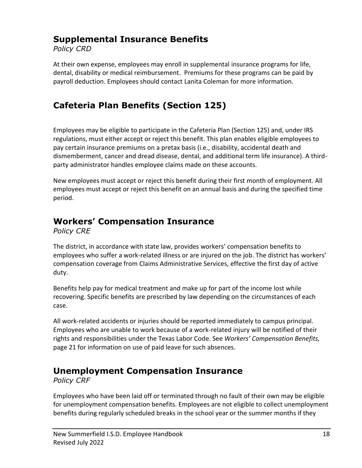### **Supplemental Insurance Benefits**

*Policy CRD*

At their own expense, employees may enroll in supplemental insurance programs for life, dental, disability or medical reimbursement. Premiums for these programs can be paid by payroll deduction. Employees should contact Lanita Coleman for more information.

# **Cafeteria Plan Benefits (Section 125)**

Employees may be eligible to participate in the Cafeteria Plan (Section 125) and, under IRS regulations, must either accept or reject this benefit. This plan enables eligible employees to pay certain insurance premiums on a pretax basis (i.e., disability, accidental death and dismemberment, cancer and dread disease, dental, and additional term life insurance). A thirdparty administrator handles employee claims made on these accounts.

New employees must accept or reject this benefit during their first month of employment. All employees must accept or reject this benefit on an annual basis and during the specified time period.

# **Workers' Compensation Insurance**

*Policy CRE*

The district, in accordance with state law, provides workers' compensation benefits to employees who suffer a work-related illness or are injured on the job. The district has workers' compensation coverage from Claims Administrative Services, effective the first day of active duty.

Benefits help pay for medical treatment and make up for part of the income lost while recovering. Specific benefits are prescribed by law depending on the circumstances of each case.

All work-related accidents or injuries should be reported immediately to campus principal. Employees who are unable to work because of a work-related injury will be notified of their rights and responsibilities under the Texas Labor Code. See *Workers' Compensation Benefits,*  page 21 for information on use of paid leave for such absences.

#### **Unemployment Compensation Insurance**

*Policy CRF*

Employees who have been laid off or terminated through no fault of their own may be eligible for unemployment compensation benefits. Employees are not eligible to collect unemployment benefits during regularly scheduled breaks in the school year or the summer months if they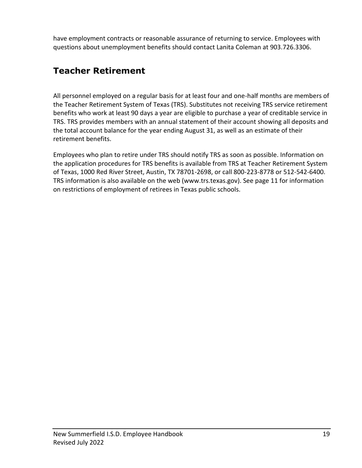have employment contracts or reasonable assurance of returning to service. Employees with questions about unemployment benefits should contact Lanita Coleman at 903.726.3306.

# **Teacher Retirement**

All personnel employed on a regular basis for at least four and one-half months are members of the Teacher Retirement System of Texas (TRS). Substitutes not receiving TRS service retirement benefits who work at least 90 days a year are eligible to purchase a year of creditable service in TRS. TRS provides members with an annual statement of their account showing all deposits and the total account balance for the year ending August 31, as well as an estimate of their retirement benefits.

Employees who plan to retire under TRS should notify TRS as soon as possible. Information on the application procedures for TRS benefits is available from TRS at Teacher Retirement System of Texas, 1000 Red River Street, Austin, TX 78701-2698, or call 800-223-8778 or 512-542-6400. TRS information is also available on the web (www.trs.texas.gov). See page 11 for information on restrictions of employment of retirees in Texas public schools.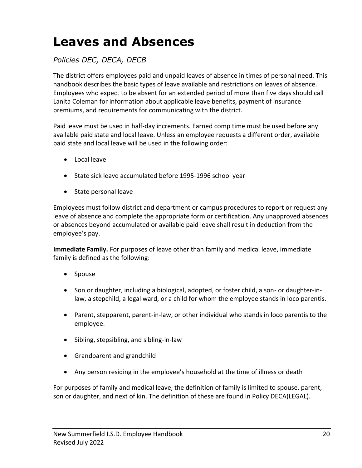# **Leaves and Absences**

#### *Policies DEC, DECA, DECB*

The district offers employees paid and unpaid leaves of absence in times of personal need. This handbook describes the basic types of leave available and restrictions on leaves of absence. Employees who expect to be absent for an extended period of more than five days should call Lanita Coleman for information about applicable leave benefits, payment of insurance premiums, and requirements for communicating with the district.

Paid leave must be used in half-day increments. Earned comp time must be used before any available paid state and local leave. Unless an employee requests a different order, available paid state and local leave will be used in the following order:

- Local leave
- State sick leave accumulated before 1995-1996 school year
- State personal leave

Employees must follow district and department or campus procedures to report or request any leave of absence and complete the appropriate form or certification. Any unapproved absences or absences beyond accumulated or available paid leave shall result in deduction from the employee's pay.

**Immediate Family.** For purposes of leave other than family and medical leave, immediate family is defined as the following:

- Spouse
- Son or daughter, including a biological, adopted, or foster child, a son- or daughter-inlaw, a stepchild, a legal ward, or a child for whom the employee stands in loco parentis.
- Parent, stepparent, parent-in-law, or other individual who stands in loco parentis to the employee.
- Sibling, stepsibling, and sibling-in-law
- Grandparent and grandchild
- Any person residing in the employee's household at the time of illness or death

For purposes of family and medical leave, the definition of family is limited to spouse, parent, son or daughter, and next of kin. The definition of these are found in Policy DECA(LEGAL).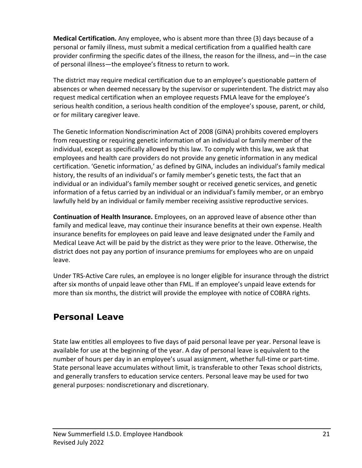**Medical Certification.** Any employee, who is absent more than three (3) days because of a personal or family illness, must submit a medical certification from a qualified health care provider confirming the specific dates of the illness, the reason for the illness, and—in the case of personal illness—the employee's fitness to return to work.

The district may require medical certification due to an employee's questionable pattern of absences or when deemed necessary by the supervisor or superintendent. The district may also request medical certification when an employee requests FMLA leave for the employee's serious health condition, a serious health condition of the employee's spouse, parent, or child, or for military caregiver leave.

The Genetic Information Nondiscrimination Act of 2008 (GINA) prohibits covered employers from requesting or requiring genetic information of an individual or family member of the individual, except as specifically allowed by this law. To comply with this law, we ask that employees and health care providers do not provide any genetic information in any medical certification. 'Genetic information,' as defined by GINA, includes an individual's family medical history, the results of an individual's or family member's genetic tests, the fact that an individual or an individual's family member sought or received genetic services, and genetic information of a fetus carried by an individual or an individual's family member, or an embryo lawfully held by an individual or family member receiving assistive reproductive services.

**Continuation of Health Insurance.** Employees, on an approved leave of absence other than family and medical leave, may continue their insurance benefits at their own expense. Health insurance benefits for employees on paid leave and leave designated under the Family and Medical Leave Act will be paid by the district as they were prior to the leave. Otherwise, the district does not pay any portion of insurance premiums for employees who are on unpaid leave.

Under TRS-Active Care rules, an employee is no longer eligible for insurance through the district after six months of unpaid leave other than FML. If an employee's unpaid leave extends for more than six months, the district will provide the employee with notice of COBRA rights.

#### **Personal Leave**

State law entitles all employees to five days of paid personal leave per year. Personal leave is available for use at the beginning of the year. A day of personal leave is equivalent to the number of hours per day in an employee's usual assignment, whether full-time or part-time. State personal leave accumulates without limit, is transferable to other Texas school districts, and generally transfers to education service centers. Personal leave may be used for two general purposes: nondiscretionary and discretionary.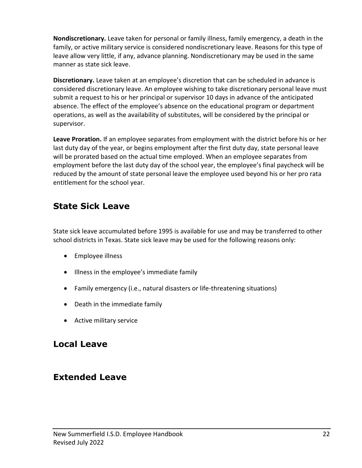**Nondiscretionary.** Leave taken for personal or family illness, family emergency, a death in the family, or active military service is considered nondiscretionary leave. Reasons for this type of leave allow very little, if any, advance planning. Nondiscretionary may be used in the same manner as state sick leave.

**Discretionary.** Leave taken at an employee's discretion that can be scheduled in advance is considered discretionary leave. An employee wishing to take discretionary personal leave must submit a request to his or her principal or supervisor 10 days in advance of the anticipated absence. The effect of the employee's absence on the educational program or department operations, as well as the availability of substitutes, will be considered by the principal or supervisor.

**Leave Proration.** If an employee separates from employment with the district before his or her last duty day of the year, or begins employment after the first duty day, state personal leave will be prorated based on the actual time employed. When an employee separates from employment before the last duty day of the school year, the employee's final paycheck will be reduced by the amount of state personal leave the employee used beyond his or her pro rata entitlement for the school year.

#### **State Sick Leave**

State sick leave accumulated before 1995 is available for use and may be transferred to other school districts in Texas. State sick leave may be used for the following reasons only:

- Employee illness
- Illness in the employee's immediate family
- Family emergency (i.e., natural disasters or life-threatening situations)
- Death in the immediate family
- Active military service

### **Local Leave**

#### **Extended Leave**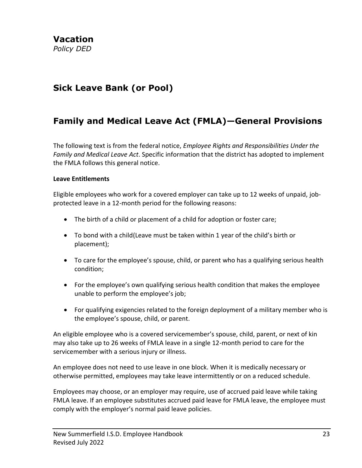#### **Sick Leave Bank (or Pool)**

#### **Family and Medical Leave Act (FMLA)—General Provisions**

The following text is from the federal notice, *Employee Rights and Responsibilities Under the Family and Medical Leave Act*. Specific information that the district has adopted to implement the FMLA follows this general notice.

#### **Leave Entitlements**

Eligible employees who work for a covered employer can take up to 12 weeks of unpaid, jobprotected leave in a 12-month period for the following reasons:

- The birth of a child or placement of a child for adoption or foster care;
- To bond with a child(Leave must be taken within 1 year of the child's birth or placement);
- To care for the employee's spouse, child, or parent who has a qualifying serious health condition;
- For the employee's own qualifying serious health condition that makes the employee unable to perform the employee's job;
- For qualifying exigencies related to the foreign deployment of a military member who is the employee's spouse, child, or parent.

An eligible employee who is a covered servicemember's spouse, child, parent, or next of kin may also take up to 26 weeks of FMLA leave in a single 12-month period to care for the servicemember with a serious injury or illness.

An employee does not need to use leave in one block. When it is medically necessary or otherwise permitted, employees may take leave intermittently or on a reduced schedule.

Employees may choose, or an employer may require, use of accrued paid leave while taking FMLA leave. If an employee substitutes accrued paid leave for FMLA leave, the employee must comply with the employer's normal paid leave policies.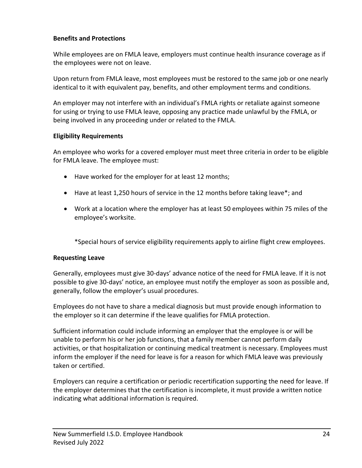#### **Benefits and Protections**

While employees are on FMLA leave, employers must continue health insurance coverage as if the employees were not on leave.

Upon return from FMLA leave, most employees must be restored to the same job or one nearly identical to it with equivalent pay, benefits, and other employment terms and conditions.

An employer may not interfere with an individual's FMLA rights or retaliate against someone for using or trying to use FMLA leave, opposing any practice made unlawful by the FMLA, or being involved in any proceeding under or related to the FMLA.

#### **Eligibility Requirements**

An employee who works for a covered employer must meet three criteria in order to be eligible for FMLA leave. The employee must:

- Have worked for the employer for at least 12 months;
- Have at least 1,250 hours of service in the 12 months before taking leave\*; and
- Work at a location where the employer has at least 50 employees within 75 miles of the employee's worksite.

\*Special hours of service eligibility requirements apply to airline flight crew employees.

#### **Requesting Leave**

Generally, employees must give 30-days' advance notice of the need for FMLA leave. If it is not possible to give 30-days' notice, an employee must notify the employer as soon as possible and, generally, follow the employer's usual procedures.

Employees do not have to share a medical diagnosis but must provide enough information to the employer so it can determine if the leave qualifies for FMLA protection.

Sufficient information could include informing an employer that the employee is or will be unable to perform his or her job functions, that a family member cannot perform daily activities, or that hospitalization or continuing medical treatment is necessary. Employees must inform the employer if the need for leave is for a reason for which FMLA leave was previously taken or certified.

Employers can require a certification or periodic recertification supporting the need for leave. If the employer determines that the certification is incomplete, it must provide a written notice indicating what additional information is required.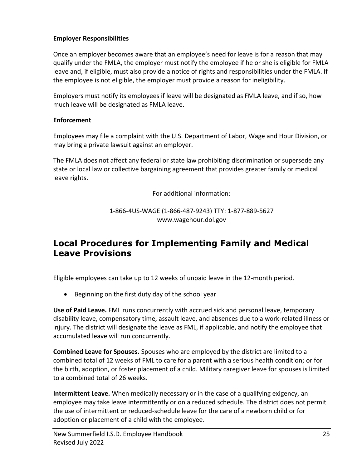#### **Employer Responsibilities**

Once an employer becomes aware that an employee's need for leave is for a reason that may qualify under the FMLA, the employer must notify the employee if he or she is eligible for FMLA leave and, if eligible, must also provide a notice of rights and responsibilities under the FMLA. If the employee is not eligible, the employer must provide a reason for ineligibility.

Employers must notify its employees if leave will be designated as FMLA leave, and if so, how much leave will be designated as FMLA leave.

#### **Enforcement**

Employees may file a complaint with the U.S. Department of Labor, Wage and Hour Division, or may bring a private lawsuit against an employer.

The FMLA does not affect any federal or state law prohibiting discrimination or supersede any state or local law or collective bargaining agreement that provides greater family or medical leave rights.

For additional information:

1-866-4US-WAGE (1-866-487-9243) TTY: 1-877-889-5627 [www.wagehour.dol.gov](http://www.wagehour.dol.gov/)

#### **Local Procedures for Implementing Family and Medical Leave Provisions**

Eligible employees can take up to 12 weeks of unpaid leave in the 12-month period.

• Beginning on the first duty day of the school year

**Use of Paid Leave.** FML runs concurrently with accrued sick and personal leave, temporary disability leave, compensatory time, assault leave, and absences due to a work-related illness or injury. The district will designate the leave as FML, if applicable, and notify the employee that accumulated leave will run concurrently.

**Combined Leave for Spouses.** Spouses who are employed by the district are limited to a combined total of 12 weeks of FML to care for a parent with a serious health condition; or for the birth, adoption, or foster placement of a child. Military caregiver leave for spouses is limited to a combined total of 26 weeks.

**Intermittent Leave.** When medically necessary or in the case of a qualifying exigency, an employee may take leave intermittently or on a reduced schedule. The district does not permit the use of intermittent or reduced-schedule leave for the care of a newborn child or for adoption or placement of a child with the employee.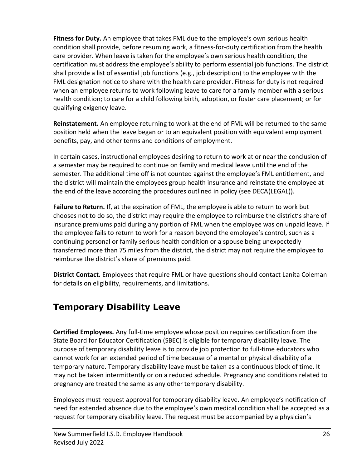**Fitness for Duty.** An employee that takes FML due to the employee's own serious health condition shall provide, before resuming work, a fitness-for-duty certification from the health care provider. When leave is taken for the employee's own serious health condition, the certification must address the employee's ability to perform essential job functions. The district shall provide a list of essential job functions (e.g., job description) to the employee with the FML designation notice to share with the health care provider. Fitness for duty is not required when an employee returns to work following leave to care for a family member with a serious health condition; to care for a child following birth, adoption, or foster care placement; or for qualifying exigency leave.

**Reinstatement.** An employee returning to work at the end of FML will be returned to the same position held when the leave began or to an equivalent position with equivalent employment benefits, pay, and other terms and conditions of employment.

In certain cases, instructional employees desiring to return to work at or near the conclusion of a semester may be required to continue on family and medical leave until the end of the semester. The additional time off is not counted against the employee's FML entitlement, and the district will maintain the employees group health insurance and reinstate the employee at the end of the leave according the procedures outlined in policy (see DECA(LEGAL)).

**Failure to Return.** If, at the expiration of FML, the employee is able to return to work but chooses not to do so, the district may require the employee to reimburse the district's share of insurance premiums paid during any portion of FML when the employee was on unpaid leave. If the employee fails to return to work for a reason beyond the employee's control, such as a continuing personal or family serious health condition or a spouse being unexpectedly transferred more than 75 miles from the district, the district may not require the employee to reimburse the district's share of premiums paid.

**District Contact.** Employees that require FML or have questions should contact Lanita Coleman for details on eligibility, requirements, and limitations.

#### **Temporary Disability Leave**

**Certified Employees.** Any full-time employee whose position requires certification from the State Board for Educator Certification (SBEC) is eligible for temporary disability leave. The purpose of temporary disability leave is to provide job protection to full-time educators who cannot work for an extended period of time because of a mental or physical disability of a temporary nature. Temporary disability leave must be taken as a continuous block of time. It may not be taken intermittently or on a reduced schedule. Pregnancy and conditions related to pregnancy are treated the same as any other temporary disability.

Employees must request approval for temporary disability leave. An employee's notification of need for extended absence due to the employee's own medical condition shall be accepted as a request for temporary disability leave. The request must be accompanied by a physician's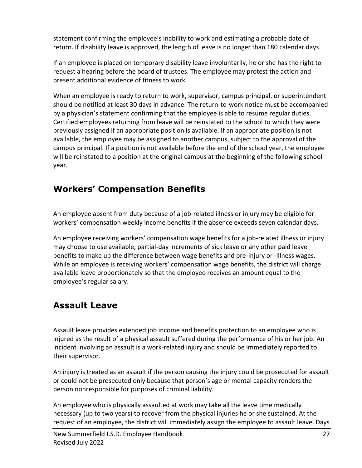statement confirming the employee's inability to work and estimating a probable date of return. If disability leave is approved, the length of leave is no longer than 180 calendar days.

If an employee is placed on temporary disability leave involuntarily, he or she has the right to request a hearing before the board of trustees. The employee may protest the action and present additional evidence of fitness to work.

When an employee is ready to return to work, supervisor, campus principal, or superintendent should be notified at least 30 days in advance. The return-to-work notice must be accompanied by a physician's statement confirming that the employee is able to resume regular duties. Certified employees returning from leave will be reinstated to the school to which they were previously assigned if an appropriate position is available. If an appropriate position is not available, the employee may be assigned to another campus, subject to the approval of the campus principal. If a position is not available before the end of the school year, the employee will be reinstated to a position at the original campus at the beginning of the following school year.

### **Workers' Compensation Benefits**

An employee absent from duty because of a job-related illness or injury may be eligible for workers' compensation weekly income benefits if the absence exceeds seven calendar days.

An employee receiving workers' compensation wage benefits for a job-related illness or injury may choose to use available, partial-day increments of sick leave or any other paid leave benefits to make up the difference between wage benefits and pre-injury or -illness wages. While an employee is receiving workers' compensation wage benefits, the district will charge available leave proportionately so that the employee receives an amount equal to the employee's regular salary.

#### **Assault Leave**

Assault leave provides extended job income and benefits protection to an employee who is injured as the result of a physical assault suffered during the performance of his or her job. An incident involving an assault is a work-related injury and should be immediately reported to their supervisor.

An injury is treated as an assault if the person causing the injury could be prosecuted for assault or could not be prosecuted only because that person's age or mental capacity renders the person nonresponsible for purposes of criminal liability.

An employee who is physically assaulted at work may take all the leave time medically necessary (up to two years) to recover from the physical injuries he or she sustained. At the request of an employee, the district will immediately assign the employee to assault leave. Days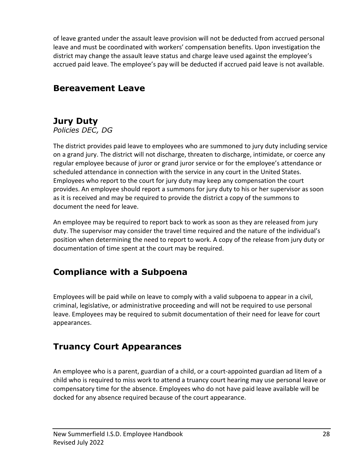of leave granted under the assault leave provision will not be deducted from accrued personal leave and must be coordinated with workers' compensation benefits. Upon investigation the district may change the assault leave status and charge leave used against the employee's accrued paid leave. The employee's pay will be deducted if accrued paid leave is not available.

#### **Bereavement Leave**

# **Jury Duty**

*Policies DEC, DG*

The district provides paid leave to employees who are summoned to jury duty including service on a grand jury. The district will not discharge, threaten to discharge, intimidate, or coerce any regular employee because of juror or grand juror service or for the employee's attendance or scheduled attendance in connection with the service in any court in the United States. Employees who report to the court for jury duty may keep any compensation the court provides. An employee should report a summons for jury duty to his or her supervisor as soon as it is received and may be required to provide the district a copy of the summons to document the need for leave.

An employee may be required to report back to work as soon as they are released from jury duty. The supervisor may consider the travel time required and the nature of the individual's position when determining the need to report to work. A copy of the release from jury duty or documentation of time spent at the court may be required.

# **Compliance with a Subpoena**

Employees will be paid while on leave to comply with a valid subpoena to appear in a civil, criminal, legislative, or administrative proceeding and will not be required to use personal leave. Employees may be required to submit documentation of their need for leave for court appearances.

# **Truancy Court Appearances**

An employee who is a parent, guardian of a child, or a court-appointed guardian ad litem of a child who is required to miss work to attend a truancy court hearing may use personal leave or compensatory time for the absence. Employees who do not have paid leave available will be docked for any absence required because of the court appearance.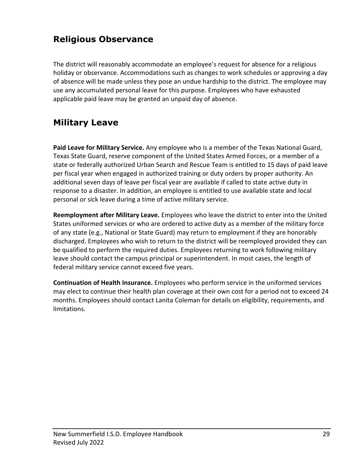## **Religious Observance**

The district will reasonably accommodate an employee's request for absence for a religious holiday or observance. Accommodations such as changes to work schedules or approving a day of absence will be made unless they pose an undue hardship to the district. The employee may use any accumulated personal leave for this purpose. Employees who have exhausted applicable paid leave may be granted an unpaid day of absence.

### **Military Leave**

**Paid Leave for Military Service.** Any employee who is a member of the Texas National Guard, Texas State Guard, reserve component of the United States Armed Forces, or a member of a state or federally authorized Urban Search and Rescue Team is entitled to 15 days of paid leave per fiscal year when engaged in authorized training or duty orders by proper authority. An additional seven days of leave per fiscal year are available if called to state active duty in response to a disaster. In addition, an employee is entitled to use available state and local personal or sick leave during a time of active military service.

**Reemployment after Military Leave.** Employees who leave the district to enter into the United States uniformed services or who are ordered to active duty as a member of the military force of any state (e.g., National or State Guard) may return to employment if they are honorably discharged. Employees who wish to return to the district will be reemployed provided they can be qualified to perform the required duties. Employees returning to work following military leave should contact the campus principal or superintendent. In most cases, the length of federal military service cannot exceed five years.

**Continuation of Health Insurance.** Employees who perform service in the uniformed services may elect to continue their health plan coverage at their own cost for a period not to exceed 24 months. Employees should contact Lanita Coleman for details on eligibility, requirements, and limitations.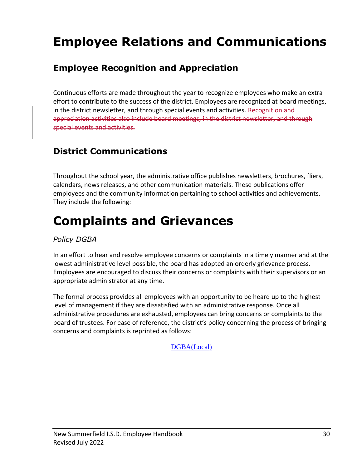# **Employee Relations and Communications**

### **Employee Recognition and Appreciation**

Continuous efforts are made throughout the year to recognize employees who make an extra effort to contribute to the success of the district. Employees are recognized at board meetings, in the district newsletter, and through special events and activities. Recognition and appreciation activities also include board meetings, in the district newsletter, and through special events and activities.

### **District Communications**

Throughout the school year, the administrative office publishes newsletters, brochures, fliers, calendars, news releases, and other communication materials. These publications offer employees and the community information pertaining to school activities and achievements. They include the following:

# **Complaints and Grievances**

#### *Policy DGBA*

In an effort to hear and resolve employee concerns or complaints in a timely manner and at the lowest administrative level possible, the board has adopted an orderly grievance process. Employees are encouraged to discuss their concerns or complaints with their supervisors or an appropriate administrator at any time.

The formal process provides all employees with an opportunity to be heard up to the highest level of management if they are dissatisfied with an administrative response. Once all administrative procedures are exhausted, employees can bring concerns or complaints to the board of trustees. For ease of reference, the district's policy concerning the process of bringing concerns and complaints is reprinted as follows:

[DGBA\(Local\)](https://pol.tasb.org/Policy/Download/286?filename=DGBA(LOCAL).pdf)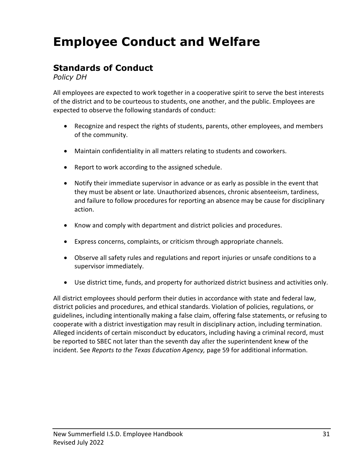# **Employee Conduct and Welfare**

#### **Standards of Conduct**

*Policy DH*

All employees are expected to work together in a cooperative spirit to serve the best interests of the district and to be courteous to students, one another, and the public. Employees are expected to observe the following standards of conduct:

- Recognize and respect the rights of students, parents, other employees, and members of the community.
- Maintain confidentiality in all matters relating to students and coworkers.
- Report to work according to the assigned schedule.
- Notify their immediate supervisor in advance or as early as possible in the event that they must be absent or late. Unauthorized absences, chronic absenteeism, tardiness, and failure to follow procedures for reporting an absence may be cause for disciplinary action.
- Know and comply with department and district policies and procedures.
- Express concerns, complaints, or criticism through appropriate channels.
- Observe all safety rules and regulations and report injuries or unsafe conditions to a supervisor immediately.
- Use district time, funds, and property for authorized district business and activities only.

All district employees should perform their duties in accordance with state and federal law, district policies and procedures, and ethical standards. Violation of policies, regulations, or guidelines, including intentionally making a false claim, offering false statements, or refusing to cooperate with a district investigation may result in disciplinary action, including termination. Alleged incidents of certain misconduct by educators, including having a criminal record, must be reported to SBEC not later than the seventh day after the superintendent knew of the incident. See *Reports to the Texas Education Agency,* page 59 for additional information.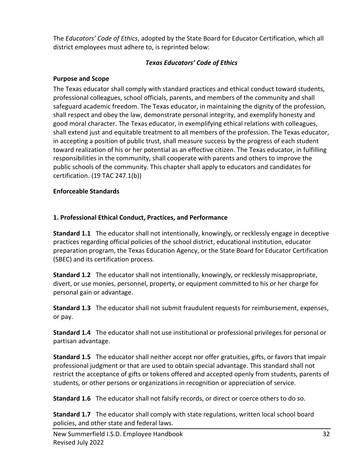The *Educators' Code of Ethics*, adopted by the State Board for Educator Certification, which all district employees must adhere to, is reprinted below:

#### *Texas Educators' Code of Ethics*

#### **Purpose and Scope**

The Texas educator shall comply with standard practices and ethical conduct toward students, professional colleagues, school officials, parents, and members of the community and shall safeguard academic freedom. The Texas educator, in maintaining the dignity of the profession, shall respect and obey the law, demonstrate personal integrity, and exemplify honesty and good moral character. The Texas educator, in exemplifying ethical relations with colleagues, shall extend just and equitable treatment to all members of the profession. The Texas educator, in accepting a position of public trust, shall measure success by the progress of each student toward realization of his or her potential as an effective citizen. The Texas educator, in fulfilling responsibilities in the community, shall cooperate with parents and others to improve the public schools of the community. This chapter shall apply to educators and candidates for certification. (19 TAC 247.1(b))

#### **Enforceable Standards**

#### **1. Professional Ethical Conduct, Practices, and Performance**

**Standard 1.1** The educator shall not intentionally, knowingly, or recklessly engage in deceptive practices regarding official policies of the school district, educational institution, educator preparation program, the Texas Education Agency, or the State Board for Educator Certification (SBEC) and its certification process.

**Standard 1.2** The educator shall not intentionally, knowingly, or recklessly misappropriate, divert, or use monies, personnel, property, or equipment committed to his or her charge for personal gain or advantage.

**Standard 1.3** The educator shall not submit fraudulent requests for reimbursement, expenses, or pay.

**Standard 1.4** The educator shall not use institutional or professional privileges for personal or partisan advantage.

**Standard 1.5** The educator shall neither accept nor offer gratuities, gifts, or favors that impair professional judgment or that are used to obtain special advantage. This standard shall not restrict the acceptance of gifts or tokens offered and accepted openly from students, parents of students, or other persons or organizations in recognition or appreciation of service.

**Standard 1.6** The educator shall not falsify records, or direct or coerce others to do so.

**Standard 1.7** The educator shall comply with state regulations, written local school board policies, and other state and federal laws.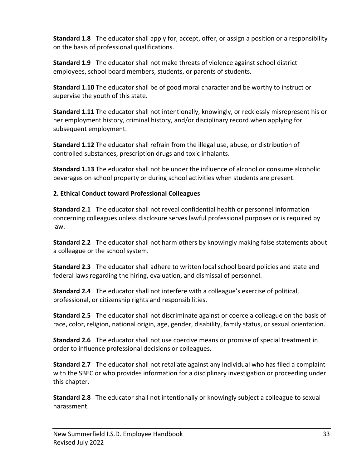**Standard 1.8** The educator shall apply for, accept, offer, or assign a position or a responsibility on the basis of professional qualifications.

**Standard 1.9** The educator shall not make threats of violence against school district employees, school board members, students, or parents of students.

**Standard 1.10** The educator shall be of good moral character and be worthy to instruct or supervise the youth of this state.

**Standard 1.11** The educator shall not intentionally, knowingly, or recklessly misrepresent his or her employment history, criminal history, and/or disciplinary record when applying for subsequent employment.

**Standard 1.12** The educator shall refrain from the illegal use, abuse, or distribution of controlled substances, prescription drugs and toxic inhalants.

**Standard 1.13** The educator shall not be under the influence of alcohol or consume alcoholic beverages on school property or during school activities when students are present.

#### **2. Ethical Conduct toward Professional Colleagues**

**Standard 2.1** The educator shall not reveal confidential health or personnel information concerning colleagues unless disclosure serves lawful professional purposes or is required by law.

**Standard 2.2** The educator shall not harm others by knowingly making false statements about a colleague or the school system.

**Standard 2.3** The educator shall adhere to written local school board policies and state and federal laws regarding the hiring, evaluation, and dismissal of personnel.

**Standard 2.4** The educator shall not interfere with a colleague's exercise of political, professional, or citizenship rights and responsibilities.

**Standard 2.5** The educator shall not discriminate against or coerce a colleague on the basis of race, color, religion, national origin, age, gender, disability, family status, or sexual orientation.

**Standard 2.6** The educator shall not use coercive means or promise of special treatment in order to influence professional decisions or colleagues.

**Standard 2.7** The educator shall not retaliate against any individual who has filed a complaint with the SBEC or who provides information for a disciplinary investigation or proceeding under this chapter.

**Standard 2.8** The educator shall not intentionally or knowingly subject a colleague to sexual harassment.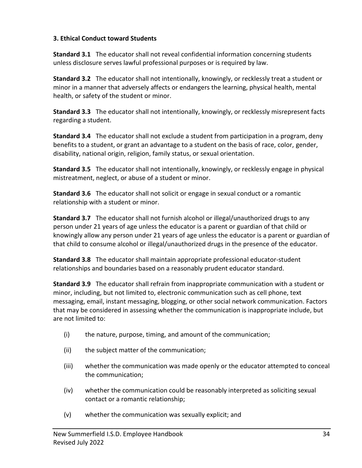#### **3. Ethical Conduct toward Students**

**Standard 3.1** The educator shall not reveal confidential information concerning students unless disclosure serves lawful professional purposes or is required by law.

**Standard 3.2** The educator shall not intentionally, knowingly, or recklessly treat a student or minor in a manner that adversely affects or endangers the learning, physical health, mental health, or safety of the student or minor.

**Standard 3.3** The educator shall not intentionally, knowingly, or recklessly misrepresent facts regarding a student.

**Standard 3.4** The educator shall not exclude a student from participation in a program, deny benefits to a student, or grant an advantage to a student on the basis of race, color, gender, disability, national origin, religion, family status, or sexual orientation.

**Standard 3.5** The educator shall not intentionally, knowingly, or recklessly engage in physical mistreatment, neglect, or abuse of a student or minor.

**Standard 3.6** The educator shall not solicit or engage in sexual conduct or a romantic relationship with a student or minor.

**Standard 3.7** The educator shall not furnish alcohol or illegal/unauthorized drugs to any person under 21 years of age unless the educator is a parent or guardian of that child or knowingly allow any person under 21 years of age unless the educator is a parent or guardian of that child to consume alcohol or illegal/unauthorized drugs in the presence of the educator.

**Standard 3.8** The educator shall maintain appropriate professional educator-student relationships and boundaries based on a reasonably prudent educator standard.

**Standard 3.9** The educator shall refrain from inappropriate communication with a student or minor, including, but not limited to, electronic communication such as cell phone, text messaging, email, instant messaging, blogging, or other social network communication. Factors that may be considered in assessing whether the communication is inappropriate include, but are not limited to:

- (i) the nature, purpose, timing, and amount of the communication;
- (ii) the subject matter of the communication;
- (iii) whether the communication was made openly or the educator attempted to conceal the communication;
- (iv) whether the communication could be reasonably interpreted as soliciting sexual contact or a romantic relationship;
- (v) whether the communication was sexually explicit; and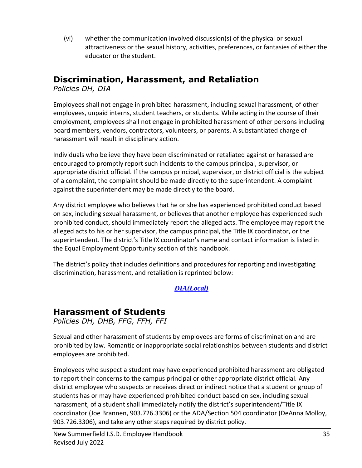(vi) whether the communication involved discussion(s) of the physical or sexual attractiveness or the sexual history, activities, preferences, or fantasies of either the educator or the student.

#### **Discrimination, Harassment, and Retaliation**

*Policies DH, DIA*

Employees shall not engage in prohibited harassment, including sexual harassment, of other employees, unpaid interns, student teachers, or students. While acting in the course of their employment, employees shall not engage in prohibited harassment of other persons including board members, vendors, contractors, volunteers, or parents. A substantiated charge of harassment will result in disciplinary action.

Individuals who believe they have been discriminated or retaliated against or harassed are encouraged to promptly report such incidents to the campus principal, supervisor, or appropriate district official. If the campus principal, supervisor, or district official is the subject of a complaint, the complaint should be made directly to the superintendent. A complaint against the superintendent may be made directly to the board.

Any district employee who believes that he or she has experienced prohibited conduct based on sex, including sexual harassment, or believes that another employee has experienced such prohibited conduct, should immediately report the alleged acts. The employee may report the alleged acts to his or her supervisor, the campus principal, the Title IX coordinator, or the superintendent. The district's Title IX coordinator's name and contact information is listed in the Equal Employment Opportunity section of this handbook.

The district's policy that includes definitions and procedures for reporting and investigating discrimination, harassment, and retaliation is reprinted below:

*[DIA\(Local\)](https://pol.tasb.org/policy/download/286?filename=dia(local).pdf)*

#### **Harassment of Students**

*Policies DH, DHB, FFG, FFH, FFI*

Sexual and other harassment of students by employees are forms of discrimination and are prohibited by law. Romantic or inappropriate social relationships between students and district employees are prohibited.

Employees who suspect a student may have experienced prohibited harassment are obligated to report their concerns to the campus principal or other appropriate district official. Any district employee who suspects or receives direct or indirect notice that a student or group of students has or may have experienced prohibited conduct based on sex, including sexual harassment, of a student shall immediately notify the district's superintendent/Title IX coordinator (Joe Brannen, 903.726.3306) or the ADA/Section 504 coordinator (DeAnna Molloy, 903.726.3306), and take any other steps required by district policy.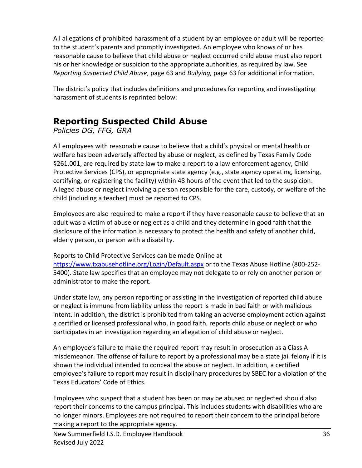All allegations of prohibited harassment of a student by an employee or adult will be reported to the student's parents and promptly investigated. An employee who knows of or has reasonable cause to believe that child abuse or neglect occurred child abuse must also report his or her knowledge or suspicion to the appropriate authorities, as required by law. See *Reporting Suspected Child Abuse*, page 63 and *Bullying,* page 63 for additional information.

The district's policy that includes definitions and procedures for reporting and investigating harassment of students is reprinted below:

### **Reporting Suspected Child Abuse**

*Policies DG, FFG, GRA*

All employees with reasonable cause to believe that a child's physical or mental health or welfare has been adversely affected by abuse or neglect, as defined by Texas Family Code §261.001, are required by state law to make a report to a law enforcement agency, Child Protective Services (CPS), or appropriate state agency (e.g., state agency operating, licensing, certifying, or registering the facility) within 48 hours of the event that led to the suspicion. Alleged abuse or neglect involving a person responsible for the care, custody, or welfare of the child (including a teacher) must be reported to CPS.

Employees are also required to make a report if they have reasonable cause to believe that an adult was a victim of abuse or neglect as a child and they determine in good faith that the disclosure of the information is necessary to protect the health and safety of another child, elderly person, or person with a disability.

Reports to Child Protective Services can be made Online at <https://www.txabusehotline.org/Login/Default.aspx> or to the Texas Abuse Hotline (800-252- 5400). State law specifies that an employee may not delegate to or rely on another person or administrator to make the report.

Under state law, any person reporting or assisting in the investigation of reported child abuse or neglect is immune from liability unless the report is made in bad faith or with malicious intent. In addition, the district is prohibited from taking an adverse employment action against a certified or licensed professional who, in good faith, reports child abuse or neglect or who participates in an investigation regarding an allegation of child abuse or neglect.

An employee's failure to make the required report may result in prosecution as a Class A misdemeanor. The offense of failure to report by a professional may be a state jail felony if it is shown the individual intended to conceal the abuse or neglect. In addition, a certified employee's failure to report may result in disciplinary procedures by SBEC for a violation of the Texas Educators' Code of Ethics.

Employees who suspect that a student has been or may be abused or neglected should also report their concerns to the campus principal. This includes students with disabilities who are no longer minors. Employees are not required to report their concern to the principal before making a report to the appropriate agency.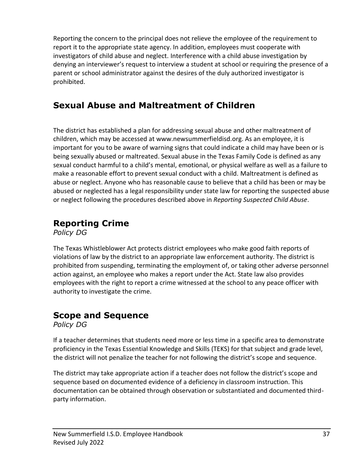Reporting the concern to the principal does not relieve the employee of the requirement to report it to the appropriate state agency. In addition, employees must cooperate with investigators of child abuse and neglect. Interference with a child abuse investigation by denying an interviewer's request to interview a student at school or requiring the presence of a parent or school administrator against the desires of the duly authorized investigator is prohibited.

### **Sexual Abuse and Maltreatment of Children**

The district has established a plan for addressing sexual abuse and other maltreatment of children, which may be accessed at www.newsummerfieldisd.org. As an employee, it is important for you to be aware of warning signs that could indicate a child may have been or is being sexually abused or maltreated. Sexual abuse in the Texas Family Code is defined as any sexual conduct harmful to a child's mental, emotional, or physical welfare as well as a failure to make a reasonable effort to prevent sexual conduct with a child. Maltreatment is defined as abuse or neglect. Anyone who has reasonable cause to believe that a child has been or may be abused or neglected has a legal responsibility under state law for reporting the suspected abuse or neglect following the procedures described above in *Reporting Suspected Child Abuse*.

#### **Reporting Crime**

*Policy DG*

The Texas Whistleblower Act protects district employees who make good faith reports of violations of law by the district to an appropriate law enforcement authority. The district is prohibited from suspending, terminating the employment of, or taking other adverse personnel action against, an employee who makes a report under the Act. State law also provides employees with the right to report a crime witnessed at the school to any peace officer with authority to investigate the crime.

### **Scope and Sequence**

*Policy DG*

If a teacher determines that students need more or less time in a specific area to demonstrate proficiency in the Texas Essential Knowledge and Skills (TEKS) for that subject and grade level, the district will not penalize the teacher for not following the district's scope and sequence.

The district may take appropriate action if a teacher does not follow the district's scope and sequence based on documented evidence of a deficiency in classroom instruction. This documentation can be obtained through observation or substantiated and documented thirdparty information.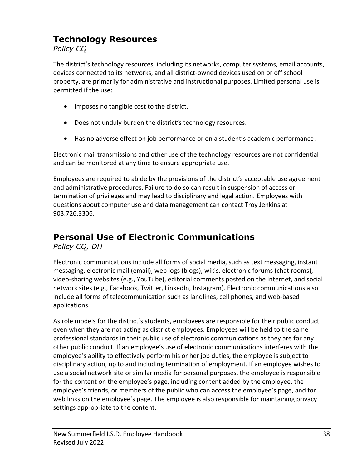## **Technology Resources**

*Policy CQ*

The district's technology resources, including its networks, computer systems, email accounts, devices connected to its networks, and all district-owned devices used on or off school property, are primarily for administrative and instructional purposes. Limited personal use is permitted if the use:

- Imposes no tangible cost to the district.
- Does not unduly burden the district's technology resources.
- Has no adverse effect on job performance or on a student's academic performance.

Electronic mail transmissions and other use of the technology resources are not confidential and can be monitored at any time to ensure appropriate use.

Employees are required to abide by the provisions of the district's acceptable use agreement and administrative procedures. Failure to do so can result in suspension of access or termination of privileges and may lead to disciplinary and legal action. Employees with questions about computer use and data management can contact Troy Jenkins at 903.726.3306.

# **Personal Use of Electronic Communications**

*Policy CQ, DH*

Electronic communications include all forms of social media, such as text messaging, instant messaging, electronic mail (email), web logs (blogs), wikis, electronic forums (chat rooms), video-sharing websites (e.g., YouTube), editorial comments posted on the Internet, and social network sites (e.g., Facebook, Twitter, LinkedIn, Instagram). Electronic communications also include all forms of telecommunication such as landlines, cell phones, and web-based applications.

As role models for the district's students, employees are responsible for their public conduct even when they are not acting as district employees. Employees will be held to the same professional standards in their public use of electronic communications as they are for any other public conduct. If an employee's use of electronic communications interferes with the employee's ability to effectively perform his or her job duties, the employee is subject to disciplinary action, up to and including termination of employment. If an employee wishes to use a social network site or similar media for personal purposes, the employee is responsible for the content on the employee's page, including content added by the employee, the employee's friends, or members of the public who can access the employee's page, and for web links on the employee's page. The employee is also responsible for maintaining privacy settings appropriate to the content.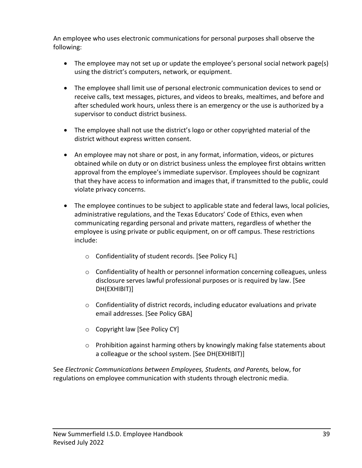An employee who uses electronic communications for personal purposes shall observe the following:

- The employee may not set up or update the employee's personal social network page(s) using the district's computers, network, or equipment.
- The employee shall limit use of personal electronic communication devices to send or receive calls, text messages, pictures, and videos to breaks, mealtimes, and before and after scheduled work hours, unless there is an emergency or the use is authorized by a supervisor to conduct district business.
- The employee shall not use the district's logo or other copyrighted material of the district without express written consent.
- An employee may not share or post, in any format, information, videos, or pictures obtained while on duty or on district business unless the employee first obtains written approval from the employee's immediate supervisor. Employees should be cognizant that they have access to information and images that, if transmitted to the public, could violate privacy concerns.
- The employee continues to be subject to applicable state and federal laws, local policies, administrative regulations, and the Texas Educators' Code of Ethics, even when communicating regarding personal and private matters, regardless of whether the employee is using private or public equipment, on or off campus. These restrictions include:
	- o Confidentiality of student records. [See Policy FL]
	- $\circ$  Confidentiality of health or personnel information concerning colleagues, unless disclosure serves lawful professional purposes or is required by law. [See DH(EXHIBIT)]
	- $\circ$  Confidentiality of district records, including educator evaluations and private email addresses. [See Policy GBA]
	- o Copyright law [See Policy CY]
	- $\circ$  Prohibition against harming others by knowingly making false statements about a colleague or the school system. [See DH(EXHIBIT)]

See *Electronic Communications between Employees, Students, and Parents,* below, for regulations on employee communication with students through electronic media.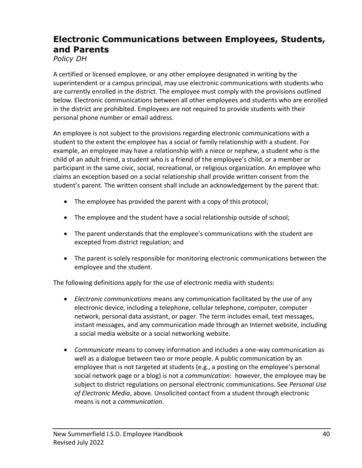### **Electronic Communications between Employees, Students, and Parents**

*Policy DH*

A certified or licensed employee, or any other employee designated in writing by the superintendent or a campus principal, may use electronic communications with students who are currently enrolled in the district. The employee must comply with the provisions outlined below. Electronic communications between all other employees and students who are enrolled in the district are prohibited. Employees are not required to provide students with their personal phone number or email address.

An employee is not subject to the provisions regarding electronic communications with a student to the extent the employee has a social or family relationship with a student. For example, an employee may have a relationship with a niece or nephew, a student who is the child of an adult friend, a student who is a friend of the employee's child, or a member or participant in the same civic, social, recreational, or religious organization. An employee who claims an exception based on a social relationship shall provide written consent from the student's parent. The written consent shall include an acknowledgement by the parent that:

- The employee has provided the parent with a copy of this protocol;
- The employee and the student have a social relationship outside of school;
- The parent understands that the employee's communications with the student are excepted from district regulation; and
- The parent is solely responsible for monitoring electronic communications between the employee and the student.

The following definitions apply for the use of electronic media with students:

- *Electronic communications* means any communication facilitated by the use of any electronic device, including a telephone, cellular telephone, computer, computer network, personal data assistant, or pager. The term includes email, text messages, instant messages, and any communication made through an Internet website, including a social media website or a social networking website.
- *Communicate* means to convey information and includes a one-way communication as well as a dialogue between two or more people. A public communication by an employee that is not targeted at students (e.g., a posting on the employee's personal social network page or a blog) is not a *communication*: however, the employee may be subject to district regulations on personal electronic communications. See *Personal Use of Electronic Media*, above. Unsolicited contact from a student through electronic means is not a *communication*.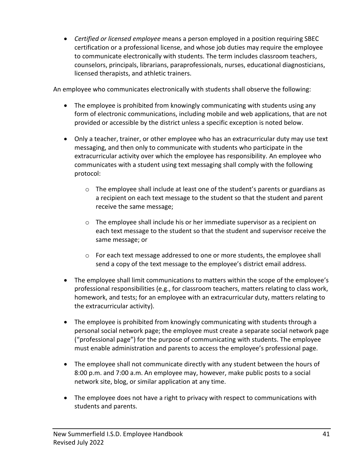• *Certified or licensed employee* means a person employed in a position requiring SBEC certification or a professional license, and whose job duties may require the employee to communicate electronically with students. The term includes classroom teachers, counselors, principals, librarians, paraprofessionals, nurses, educational diagnosticians, licensed therapists, and athletic trainers.

An employee who communicates electronically with students shall observe the following:

- The employee is prohibited from knowingly communicating with students using any form of electronic communications, including mobile and web applications, that are not provided or accessible by the district unless a specific exception is noted below.
- Only a teacher, trainer, or other employee who has an extracurricular duty may use text messaging, and then only to communicate with students who participate in the extracurricular activity over which the employee has responsibility. An employee who communicates with a student using text messaging shall comply with the following protocol:
	- $\circ$  The employee shall include at least one of the student's parents or guardians as a recipient on each text message to the student so that the student and parent receive the same message;
	- $\circ$  The employee shall include his or her immediate supervisor as a recipient on each text message to the student so that the student and supervisor receive the same message; or
	- $\circ$  For each text message addressed to one or more students, the employee shall send a copy of the text message to the employee's district email address.
- The employee shall limit communications to matters within the scope of the employee's professional responsibilities (e.g., for classroom teachers, matters relating to class work, homework, and tests; for an employee with an extracurricular duty, matters relating to the extracurricular activity).
- The employee is prohibited from knowingly communicating with students through a personal social network page; the employee must create a separate social network page ("professional page") for the purpose of communicating with students. The employee must enable administration and parents to access the employee's professional page.
- The employee shall not communicate directly with any student between the hours of 8:00 p.m. and 7:00 a.m. An employee may, however, make public posts to a social network site, blog, or similar application at any time.
- The employee does not have a right to privacy with respect to communications with students and parents.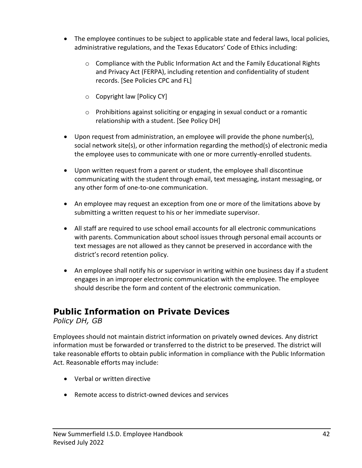- The employee continues to be subject to applicable state and federal laws, local policies, administrative regulations, and the Texas Educators' Code of Ethics including:
	- $\circ$  Compliance with the Public Information Act and the Family Educational Rights and Privacy Act (FERPA), including retention and confidentiality of student records. [See Policies CPC and FL]
	- o Copyright law [Policy CY]
	- o Prohibitions against soliciting or engaging in sexual conduct or a romantic relationship with a student. [See Policy DH]
- Upon request from administration, an employee will provide the phone number(s), social network site(s), or other information regarding the method(s) of electronic media the employee uses to communicate with one or more currently-enrolled students.
- Upon written request from a parent or student, the employee shall discontinue communicating with the student through email, text messaging, instant messaging, or any other form of one-to-one communication.
- An employee may request an exception from one or more of the limitations above by submitting a written request to his or her immediate supervisor.
- All staff are required to use school email accounts for all electronic communications with parents. Communication about school issues through personal email accounts or text messages are not allowed as they cannot be preserved in accordance with the district's record retention policy.
- An employee shall notify his or supervisor in writing within one business day if a student engages in an improper electronic communication with the employee. The employee should describe the form and content of the electronic communication.

# **Public Information on Private Devices**

*Policy DH, GB*

Employees should not maintain district information on privately owned devices. Any district information must be forwarded or transferred to the district to be preserved. The district will take reasonable efforts to obtain public information in compliance with the Public Information Act. Reasonable efforts may include:

- Verbal or written directive
- Remote access to district-owned devices and services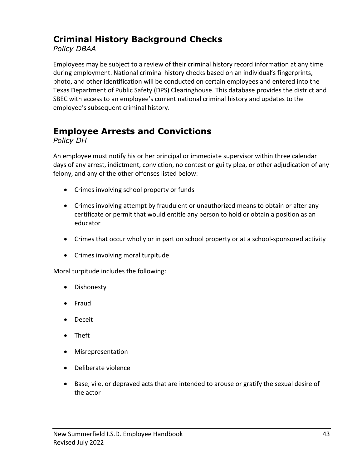## **Criminal History Background Checks**

*Policy DBAA*

Employees may be subject to a review of their criminal history record information at any time during employment. National criminal history checks based on an individual's fingerprints, photo, and other identification will be conducted on certain employees and entered into the Texas Department of Public Safety (DPS) Clearinghouse. This database provides the district and SBEC with access to an employee's current national criminal history and updates to the employee's subsequent criminal history.

## **Employee Arrests and Convictions**

*Policy DH*

An employee must notify his or her principal or immediate supervisor within three calendar days of any arrest, indictment, conviction, no contest or guilty plea, or other adjudication of any felony, and any of the other offenses listed below:

- Crimes involving school property or funds
- Crimes involving attempt by fraudulent or unauthorized means to obtain or alter any certificate or permit that would entitle any person to hold or obtain a position as an educator
- Crimes that occur wholly or in part on school property or at a school-sponsored activity
- Crimes involving moral turpitude

Moral turpitude includes the following:

- Dishonesty
- Fraud
- Deceit
- Theft
- Misrepresentation
- Deliberate violence
- Base, vile, or depraved acts that are intended to arouse or gratify the sexual desire of the actor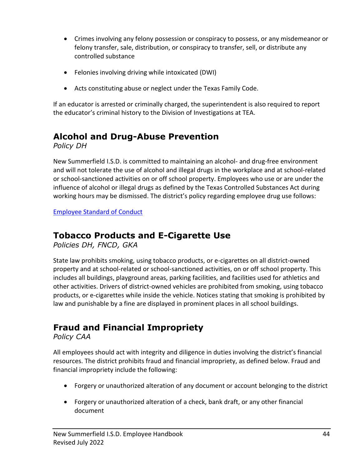- Crimes involving any felony possession or conspiracy to possess, or any misdemeanor or felony transfer, sale, distribution, or conspiracy to transfer, sell, or distribute any controlled substance
- Felonies involving driving while intoxicated (DWI)
- Acts constituting abuse or neglect under the Texas Family Code.

If an educator is arrested or criminally charged, the superintendent is also required to report the educator's criminal history to the Division of Investigations at TEA.

## **Alcohol and Drug-Abuse Prevention**

*Policy DH*

New Summerfield I.S.D. is committed to maintaining an alcohol- and drug-free environment and will not tolerate the use of alcohol and illegal drugs in the workplace and at school-related or school-sanctioned activities on or off school property. Employees who use or are under the influence of alcohol or illegal drugs as defined by the Texas Controlled Substances Act during working hours may be dismissed. The district's policy regarding employee drug use follows:

[Employee Standard of Conduct](https://pol.tasb.org/Policy/Download/286?filename=DH(LEGAL).pdf)

## **Tobacco Products and E-Cigarette Use**

*Policies DH, FNCD, GKA*

State law prohibits smoking, using tobacco products, or e-cigarettes on all district-owned property and at school-related or school-sanctioned activities, on or off school property. This includes all buildings, playground areas, parking facilities, and facilities used for athletics and other activities. Drivers of district-owned vehicles are prohibited from smoking, using tobacco products, or e-cigarettes while inside the vehicle. Notices stating that smoking is prohibited by law and punishable by a fine are displayed in prominent places in all school buildings.

# **Fraud and Financial Impropriety**

*Policy CAA*

All employees should act with integrity and diligence in duties involving the district's financial resources. The district prohibits fraud and financial impropriety, as defined below. Fraud and financial impropriety include the following:

- Forgery or unauthorized alteration of any document or account belonging to the district
- Forgery or unauthorized alteration of a check, bank draft, or any other financial document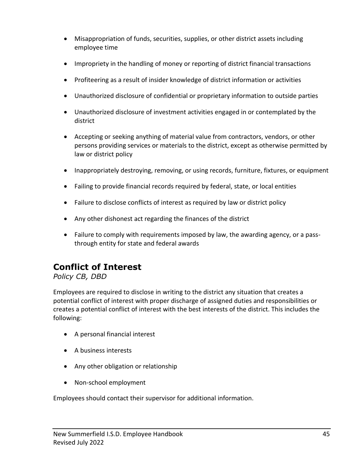- Misappropriation of funds, securities, supplies, or other district assets including employee time
- Impropriety in the handling of money or reporting of district financial transactions
- Profiteering as a result of insider knowledge of district information or activities
- Unauthorized disclosure of confidential or proprietary information to outside parties
- Unauthorized disclosure of investment activities engaged in or contemplated by the district
- Accepting or seeking anything of material value from contractors, vendors, or other persons providing services or materials to the district, except as otherwise permitted by law or district policy
- Inappropriately destroying, removing, or using records, furniture, fixtures, or equipment
- Failing to provide financial records required by federal, state, or local entities
- Failure to disclose conflicts of interest as required by law or district policy
- Any other dishonest act regarding the finances of the district
- Failure to comply with requirements imposed by law, the awarding agency, or a passthrough entity for state and federal awards

### **Conflict of Interest**

#### *Policy CB, DBD*

Employees are required to disclose in writing to the district any situation that creates a potential conflict of interest with proper discharge of assigned duties and responsibilities or creates a potential conflict of interest with the best interests of the district. This includes the following:

- A personal financial interest
- A business interests
- Any other obligation or relationship
- Non-school employment

Employees should contact their supervisor for additional information.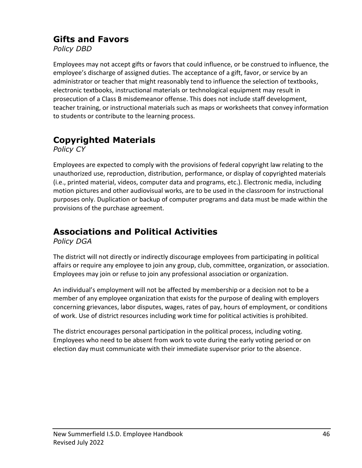#### **Gifts and Favors**

*Policy DBD*

Employees may not accept gifts or favors that could influence, or be construed to influence, the employee's discharge of assigned duties. The acceptance of a gift, favor, or service by an administrator or teacher that might reasonably tend to influence the selection of textbooks, electronic textbooks, instructional materials or technological equipment may result in prosecution of a Class B misdemeanor offense. This does not include staff development, teacher training, or instructional materials such as maps or worksheets that convey information to students or contribute to the learning process.

# **Copyrighted Materials**

*Policy CY*

Employees are expected to comply with the provisions of federal copyright law relating to the unauthorized use, reproduction, distribution, performance, or display of copyrighted materials (i.e., printed material, videos, computer data and programs, etc.). Electronic media, including motion pictures and other audiovisual works, are to be used in the classroom for instructional purposes only. Duplication or backup of computer programs and data must be made within the provisions of the purchase agreement.

# **Associations and Political Activities**

*Policy DGA*

The district will not directly or indirectly discourage employees from participating in political affairs or require any employee to join any group, club, committee, organization, or association. Employees may join or refuse to join any professional association or organization.

An individual's employment will not be affected by membership or a decision not to be a member of any employee organization that exists for the purpose of dealing with employers concerning grievances, labor disputes, wages, rates of pay, hours of employment, or conditions of work. Use of district resources including work time for political activities is prohibited.

The district encourages personal participation in the political process, including voting. Employees who need to be absent from work to vote during the early voting period or on election day must communicate with their immediate supervisor prior to the absence.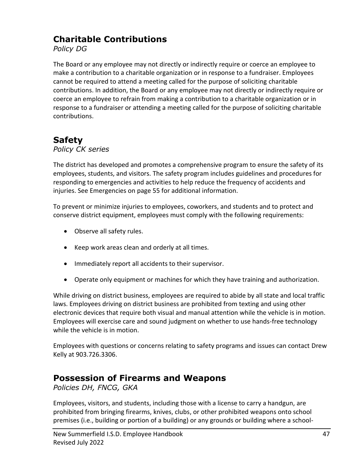#### **Charitable Contributions**

*Policy DG*

The Board or any employee may not directly or indirectly require or coerce an employee to make a contribution to a charitable organization or in response to a fundraiser. Employees cannot be required to attend a meeting called for the purpose of soliciting charitable contributions. In addition, the Board or any employee may not directly or indirectly require or coerce an employee to refrain from making a contribution to a charitable organization or in response to a fundraiser or attending a meeting called for the purpose of soliciting charitable contributions.

#### **Safety**

*Policy CK series*

The district has developed and promotes a comprehensive program to ensure the safety of its employees, students, and visitors. The safety program includes guidelines and procedures for responding to emergencies and activities to help reduce the frequency of accidents and injuries. See Emergencies on page 55 for additional information.

To prevent or minimize injuries to employees, coworkers, and students and to protect and conserve district equipment, employees must comply with the following requirements:

- Observe all safety rules.
- Keep work areas clean and orderly at all times.
- Immediately report all accidents to their supervisor.
- Operate only equipment or machines for which they have training and authorization.

While driving on district business, employees are required to abide by all state and local traffic laws. Employees driving on district business are prohibited from texting and using other electronic devices that require both visual and manual attention while the vehicle is in motion. Employees will exercise care and sound judgment on whether to use hands-free technology while the vehicle is in motion.

Employees with questions or concerns relating to safety programs and issues can contact Drew Kelly at 903.726.3306.

### **Possession of Firearms and Weapons**

*Policies DH, FNCG, GKA*

Employees, visitors, and students, including those with a license to carry a handgun, are prohibited from bringing firearms, knives, clubs, or other prohibited weapons onto school premises (i.e., building or portion of a building) or any grounds or building where a school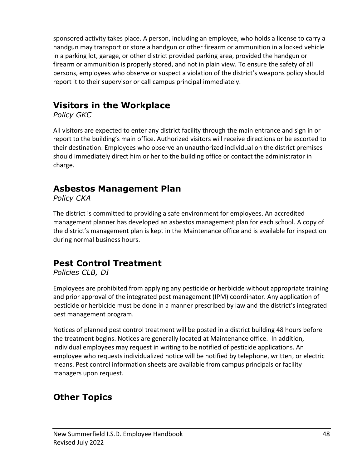sponsored activity takes place. A person, including an employee, who holds a license to carry a handgun may transport or store a handgun or other firearm or ammunition in a locked vehicle in a parking lot, garage, or other district provided parking area, provided the handgun or firearm or ammunition is properly stored, and not in plain view. To ensure the safety of all persons, employees who observe or suspect a violation of the district's weapons policy should report it to their supervisor or call campus principal immediately.

## **Visitors in the Workplace**

*Policy GKC*

All visitors are expected to enter any district facility through the main entrance and sign in or report to the building's main office. Authorized visitors will receive directions or be escorted to their destination. Employees who observe an unauthorized individual on the district premises should immediately direct him or her to the building office or contact the administrator in charge.

#### **Asbestos Management Plan**

*Policy CKA*

The district is committed to providing a safe environment for employees. An accredited management planner has developed an asbestos management plan for each school. A copy of the district's management plan is kept in the Maintenance office and is available for inspection during normal business hours.

### **Pest Control Treatment**

*Policies CLB, DI*

Employees are prohibited from applying any pesticide or herbicide without appropriate training and prior approval of the integrated pest management (IPM) coordinator. Any application of pesticide or herbicide must be done in a manner prescribed by law and the district's integrated pest management program.

Notices of planned pest control treatment will be posted in a district building 48 hours before the treatment begins. Notices are generally located at Maintenance office. In addition, individual employees may request in writing to be notified of pesticide applications. An employee who requests individualized notice will be notified by telephone, written, or electric means. Pest control information sheets are available from campus principals or facility managers upon request.

# **Other Topics**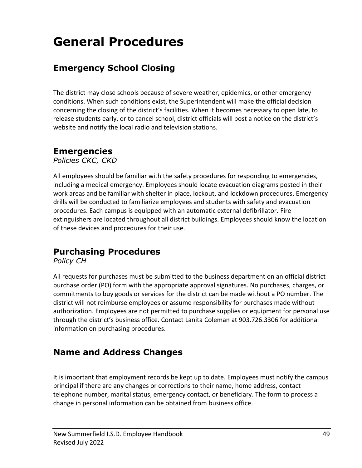# **General Procedures**

## **Emergency School Closing**

The district may close schools because of severe weather, epidemics, or other emergency conditions. When such conditions exist, the Superintendent will make the official decision concerning the closing of the district's facilities. When it becomes necessary to open late, to release students early, or to cancel school, district officials will post a notice on the district's website and notify the local radio and television stations.

#### **Emergencies**

*Policies CKC, CKD*

All employees should be familiar with the safety procedures for responding to emergencies, including a medical emergency. Employees should locate evacuation diagrams posted in their work areas and be familiar with shelter in place, lockout, and lockdown procedures. Emergency drills will be conducted to familiarize employees and students with safety and evacuation procedures. Each campus is equipped with an automatic external defibrillator. Fire extinguishers are located throughout all district buildings. Employees should know the location of these devices and procedures for their use.

### **Purchasing Procedures**

*Policy CH*

All requests for purchases must be submitted to the business department on an official district purchase order (PO) form with the appropriate approval signatures. No purchases, charges, or commitments to buy goods or services for the district can be made without a PO number. The district will not reimburse employees or assume responsibility for purchases made without authorization. Employees are not permitted to purchase supplies or equipment for personal use through the district's business office. Contact Lanita Coleman at 903.726.3306 for additional information on purchasing procedures.

#### **Name and Address Changes**

It is important that employment records be kept up to date. Employees must notify the campus principal if there are any changes or corrections to their name, home address, contact telephone number, marital status, emergency contact, or beneficiary. The form to process a change in personal information can be obtained from business office.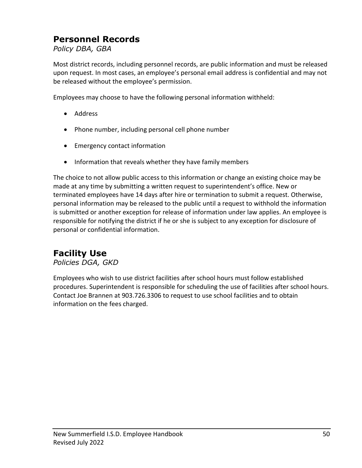### **Personnel Records**

*Policy DBA, GBA*

Most district records, including personnel records, are public information and must be released upon request. In most cases, an employee's personal email address is confidential and may not be released without the employee's permission.

Employees may choose to have the following personal information withheld:

- Address
- Phone number, including personal cell phone number
- Emergency contact information
- Information that reveals whether they have family members

The choice to not allow public access to this information or change an existing choice may be made at any time by submitting a written request to superintendent's office. New or terminated employees have 14 days after hire or termination to submit a request. Otherwise, personal information may be released to the public until a request to withhold the information is submitted or another exception for release of information under law applies. An employee is responsible for notifying the district if he or she is subject to any exception for disclosure of personal or confidential information.

### **Facility Use**

*Policies DGA, GKD*

Employees who wish to use district facilities after school hours must follow established procedures. Superintendent is responsible for scheduling the use of facilities after school hours. Contact Joe Brannen at 903.726.3306 to request to use school facilities and to obtain information on the fees charged.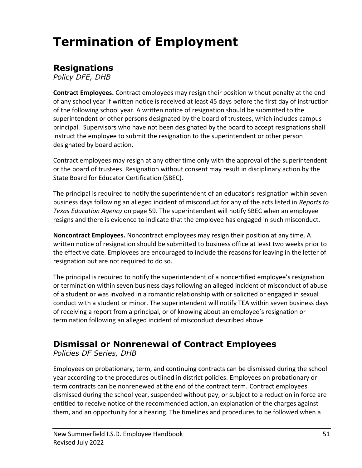# **Termination of Employment**

#### **Resignations**

*Policy DFE, DHB*

**Contract Employees.** Contract employees may resign their position without penalty at the end of any school year if written notice is received at least 45 days before the first day of instruction of the following school year. A written notice of resignation should be submitted to the superintendent or other persons designated by the board of trustees, which includes campus principal. Supervisors who have not been designated by the board to accept resignations shall instruct the employee to submit the resignation to the superintendent or other person designated by board action.

Contract employees may resign at any other time only with the approval of the superintendent or the board of trustees. Resignation without consent may result in disciplinary action by the State Board for Educator Certification (SBEC).

The principal is required to notify the superintendent of an educator's resignation within seven business days following an alleged incident of misconduct for any of the acts listed in *Reports to Texas Education Agency* on page 59. The superintendent will notify SBEC when an employee resigns and there is evidence to indicate that the employee has engaged in such misconduct.

**Noncontract Employees.** Noncontract employees may resign their position at any time. A written notice of resignation should be submitted to business office at least two weeks prior to the effective date. Employees are encouraged to include the reasons for leaving in the letter of resignation but are not required to do so.

The principal is required to notify the superintendent of a noncertified employee's resignation or termination within seven business days following an alleged incident of misconduct of abuse of a student or was involved in a romantic relationship with or solicited or engaged in sexual conduct with a student or minor. The superintendent will notify TEA within seven business days of receiving a report from a principal, or of knowing about an employee's resignation or termination following an alleged incident of misconduct described above.

### **Dismissal or Nonrenewal of Contract Employees**

*Policies DF Series, DHB*

Employees on probationary, term, and continuing contracts can be dismissed during the school year according to the procedures outlined in district policies. Employees on probationary or term contracts can be nonrenewed at the end of the contract term. Contract employees dismissed during the school year, suspended without pay, or subject to a reduction in force are entitled to receive notice of the recommended action, an explanation of the charges against them, and an opportunity for a hearing. The timelines and procedures to be followed when a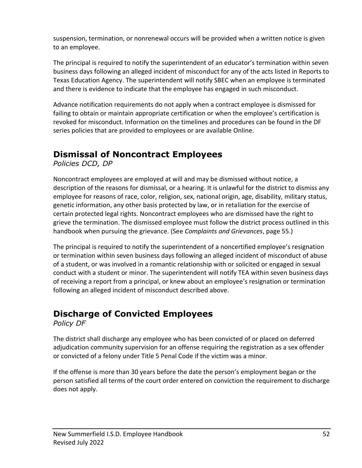suspension, termination, or nonrenewal occurs will be provided when a written notice is given to an employee.

The principal is required to notify the superintendent of an educator's termination within seven business days following an alleged incident of misconduct for any of the acts listed in Reports to Texas Education Agency. The superintendent will notify SBEC when an employee is terminated and there is evidence to indicate that the employee has engaged in such misconduct.

Advance notification requirements do not apply when a contract employee is dismissed for failing to obtain or maintain appropriate certification or when the employee's certification is revoked for misconduct. Information on the timelines and procedures can be found in the DF series policies that are provided to employees or are available Online.

## **Dismissal of Noncontract Employees**

*Policies DCD, DP*

Noncontract employees are employed at will and may be dismissed without notice, a description of the reasons for dismissal, or a hearing. It is unlawful for the district to dismiss any employee for reasons of race, color, religion, sex, national origin, age, disability, military status, genetic information, any other basis protected by law, or in retaliation for the exercise of certain protected legal rights. Noncontract employees who are dismissed have the right to grieve the termination. The dismissed employee must follow the district process outlined in this handbook when pursuing the grievance. (See *Complaints and Grievances*, page 55.)

The principal is required to notify the superintendent of a noncertified employee's resignation or termination within seven business days following an alleged incident of misconduct of abuse of a student, or was involved in a romantic relationship with or solicited or engaged in sexual conduct with a student or minor. The superintendent will notify TEA within seven business days of receiving a report from a principal, or knew about an employee's resignation or termination following an alleged incident of misconduct described above.

### **Discharge of Convicted Employees**

*Policy DF*

The district shall discharge any employee who has been convicted of or placed on deferred adjudication community supervision for an offense requiring the registration as a sex offender or convicted of a felony under Title 5 Penal Code if the victim was a minor.

If the offense is more than 30 years before the date the person's employment began or the person satisfied all terms of the court order entered on conviction the requirement to discharge does not apply.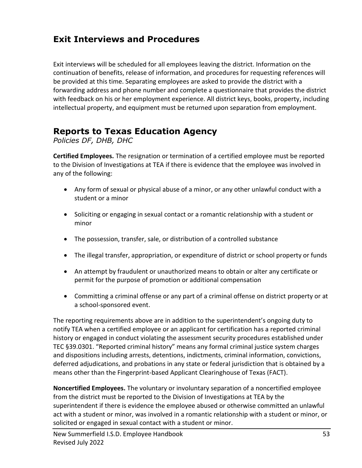### **Exit Interviews and Procedures**

Exit interviews will be scheduled for all employees leaving the district. Information on the continuation of benefits, release of information, and procedures for requesting references will be provided at this time. Separating employees are asked to provide the district with a forwarding address and phone number and complete a questionnaire that provides the district with feedback on his or her employment experience. All district keys, books, property, including intellectual property, and equipment must be returned upon separation from employment.

#### **Reports to Texas Education Agency**

*Policies DF, DHB, DHC*

**Certified Employees.** The resignation or termination of a certified employee must be reported to the Division of Investigations at TEA if there is evidence that the employee was involved in any of the following:

- Any form of sexual or physical abuse of a minor, or any other unlawful conduct with a student or a minor
- Soliciting or engaging in sexual contact or a romantic relationship with a student or minor
- The possession, transfer, sale, or distribution of a controlled substance
- The illegal transfer, appropriation, or expenditure of district or school property or funds
- An attempt by fraudulent or unauthorized means to obtain or alter any certificate or permit for the purpose of promotion or additional compensation
- Committing a criminal offense or any part of a criminal offense on district property or at a school-sponsored event.

The reporting requirements above are in addition to the superintendent's ongoing duty to notify TEA when a certified employee or an applicant for certification has a reported criminal history or engaged in conduct violating the assessment security procedures established under TEC §39.0301. "Reported criminal history" means any formal criminal justice system charges and dispositions including arrests, detentions, indictments, criminal information, convictions, deferred adjudications, and probations in any state or federal jurisdiction that is obtained by a means other than the Fingerprint-based Applicant Clearinghouse of Texas (FACT).

**Noncertified Employees.** The voluntary or involuntary separation of a noncertified employee from the district must be reported to the Division of Investigations at TEA by the superintendent if there is evidence the employee abused or otherwise committed an unlawful act with a student or minor, was involved in a romantic relationship with a student or minor, or solicited or engaged in sexual contact with a student or minor.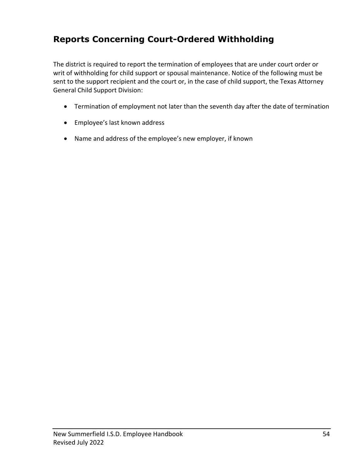### **Reports Concerning Court-Ordered Withholding**

The district is required to report the termination of employees that are under court order or writ of withholding for child support or spousal maintenance. Notice of the following must be sent to the support recipient and the court or, in the case of child support, the Texas Attorney General Child Support Division:

- Termination of employment not later than the seventh day after the date of termination
- Employee's last known address
- Name and address of the employee's new employer, if known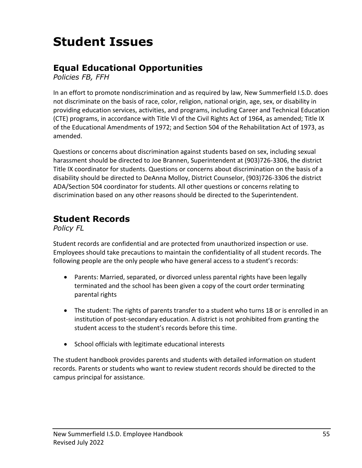# **Student Issues**

### **Equal Educational Opportunities**

*Policies FB, FFH*

In an effort to promote nondiscrimination and as required by law, New Summerfield I.S.D. does not discriminate on the basis of race, color, religion, national origin, age, sex, or disability in providing education services, activities, and programs, including Career and Technical Education (CTE) programs, in accordance with Title VI of the Civil Rights Act of 1964, as amended; Title IX of the Educational Amendments of 1972; and Section 504 of the Rehabilitation Act of 1973, as amended.

Questions or concerns about discrimination against students based on sex, including sexual harassment should be directed to Joe Brannen, Superintendent at (903)726-3306, the district Title IX coordinator for students. Questions or concerns about discrimination on the basis of a disability should be directed to DeAnna Molloy, District Counselor, (903)726-3306 the district ADA/Section 504 coordinator for students. All other questions or concerns relating to discrimination based on any other reasons should be directed to the Superintendent.

#### **Student Records**

*Policy FL*

Student records are confidential and are protected from unauthorized inspection or use. Employees should take precautions to maintain the confidentiality of all student records. The following people are the only people who have general access to a student's records:

- Parents: Married, separated, or divorced unless parental rights have been legally terminated and the school has been given a copy of the court order terminating parental rights
- The student: The rights of parents transfer to a student who turns 18 or is enrolled in an institution of post-secondary education. A district is not prohibited from granting the student access to the student's records before this time.
- School officials with legitimate educational interests

The student handbook provides parents and students with detailed information on student records. Parents or students who want to review student records should be directed to the campus principal for assistance.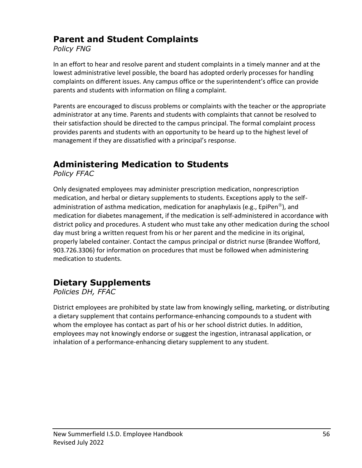### **Parent and Student Complaints**

*Policy FNG*

In an effort to hear and resolve parent and student complaints in a timely manner and at the lowest administrative level possible, the board has adopted orderly processes for handling complaints on different issues. Any campus office or the superintendent's office can provide parents and students with information on filing a complaint.

Parents are encouraged to discuss problems or complaints with the teacher or the appropriate administrator at any time. Parents and students with complaints that cannot be resolved to their satisfaction should be directed to the campus principal. The formal complaint process provides parents and students with an opportunity to be heard up to the highest level of management if they are dissatisfied with a principal's response.

# **Administering Medication to Students**

*Policy FFAC*

Only designated employees may administer prescription medication, nonprescription medication, and herbal or dietary supplements to students. Exceptions apply to the selfadministration of asthma medication, medication for anaphylaxis (e.g., EpiPen<sup>®</sup>), and medication for diabetes management, if the medication is self-administered in accordance with district policy and procedures. A student who must take any other medication during the school day must bring a written request from his or her parent and the medicine in its original, properly labeled container. Contact the campus principal or district nurse (Brandee Wofford, 903.726.3306) for information on procedures that must be followed when administering medication to students.

# **Dietary Supplements**

*Policies DH, FFAC*

District employees are prohibited by state law from knowingly selling, marketing, or distributing a dietary supplement that contains performance-enhancing compounds to a student with whom the employee has contact as part of his or her school district duties. In addition, employees may not knowingly endorse or suggest the ingestion, intranasal application, or inhalation of a performance-enhancing dietary supplement to any student.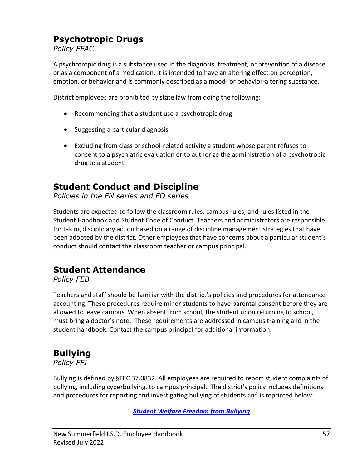## **Psychotropic Drugs**

*Policy FFAC*

A psychotropic drug is a substance used in the diagnosis, treatment, or prevention of a disease or as a component of a medication. It is intended to have an altering effect on perception, emotion, or behavior and is commonly described as a mood- or behavior-altering substance.

District employees are prohibited by state law from doing the following:

- Recommending that a student use a psychotropic drug
- Suggesting a particular diagnosis
- Excluding from class or school-related activity a student whose parent refuses to consent to a psychiatric evaluation or to authorize the administration of a psychotropic drug to a student

#### **Student Conduct and Discipline**

*Policies in the FN series and FO series*

Students are expected to follow the classroom rules, campus rules, and rules listed in the Student Handbook and Student Code of Conduct. Teachers and administrators are responsible for taking disciplinary action based on a range of discipline management strategies that have been adopted by the district. Other employees that have concerns about a particular student's conduct should contact the classroom teacher or campus principal.

# **Student Attendance**

*Policy FEB*

Teachers and staff should be familiar with the district's policies and procedures for attendance accounting. These procedures require minor students to have parental consent before they are allowed to leave campus. When absent from school, the student upon returning to school, must bring a doctor's note. These requirements are addressed in campus training and in the student handbook. Contact the campus principal for additional information.

# **Bullying**

*Policy FFI*

Bullying is defined by §TEC 37.0832. All employees are required to report student complaints of bullying, including cyberbullying, to campus principal. The district's policy includes definitions and procedures for reporting and investigating bullying of students and is reprinted below:

*[Student Welfare Freedom from Bullying](https://pol.tasb.org/Policy/Download/286?filename=FFI(LOCAL).pdf)*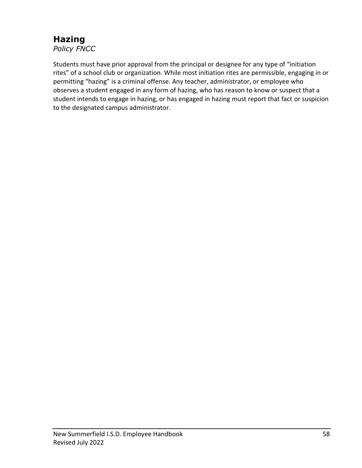#### **Hazing** *Policy FNCC*

Students must have prior approval from the principal or designee for any type of "initiation rites" of a school club or organization. While most initiation rites are permissible, engaging in or permitting "hazing" is a criminal offense. Any teacher, administrator, or employee who observes a student engaged in any form of hazing, who has reason to know or suspect that a student intends to engage in hazing, or has engaged in hazing must report that fact or suspicion to the designated campus administrator.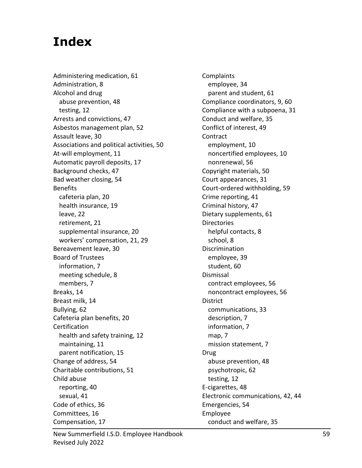# **Index**

Administering medication, 61 Administration, 8 Alcohol and drug abuse prevention, 48 testing, 12 Arrests and convictions, 47 Asbestos management plan, 52 Assault leave, 30 Associations and political activities, 50 At-will employment, 11 Automatic payroll deposits, 17 Background checks, 47 Bad weather closing, 54 **Benefits** cafeteria plan, 20 health insurance, 19 leave, 22 retirement, 21 supplemental insurance, 20 workers' compensation, 21, 29 Bereavement leave, 30 Board of Trustees information, 7 meeting schedule, 8 members, 7 Breaks, 14 Breast milk, 14 Bullying, 62 Cafeteria plan benefits, 20 **Certification** health and safety training, 12 maintaining, 11 parent notification, 15 Change of address, 54 Charitable contributions, 51 Child abuse reporting, 40 sexual, 41 Code of ethics, 36 Committees, 16 Compensation, 17

Complaints employee, 34 parent and student, 61 Compliance coordinators, 9, 60 Compliance with a subpoena, 31 Conduct and welfare, 35 Conflict of interest, 49 Contract employment, 10 noncertified employees, 10 nonrenewal, 56 Copyright materials, 50 Court appearances, 31 Court-ordered withholding, 59 Crime reporting, 41 Criminal history, 47 Dietary supplements, 61 **Directories** helpful contacts, 8 school, 8 Discrimination employee, 39 student, 60 Dismissal contract employees, 56 noncontract employees, 56 District communications, 33 description, 7 information, 7 map, 7 mission statement, 7 Drug abuse prevention, 48 psychotropic, 62 testing, 12 E-cigarettes, 48 Electronic communications, 42, 44 Emergencies, 54 Employee conduct and welfare, 35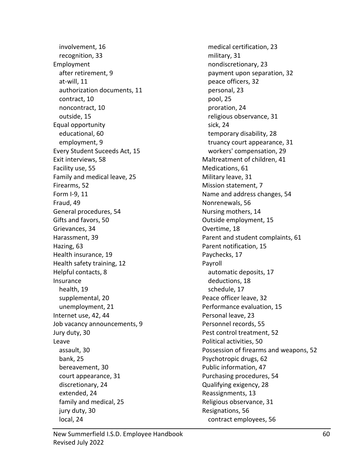involvement, 16 recognition, 33 Employment after retirement, 9 at-will, 11 authorization documents, 11 contract, 10 noncontract, 10 outside, 15 Equal opportunity educational, 60 employment, 9 Every Student Suceeds Act, 15 Exit interviews, 58 Facility use, 55 Family and medical leave, 25 Firearms, 52 Form I-9, 11 Fraud, 49 General procedures, 54 Gifts and favors, 50 Grievances, 34 Harassment, 39 Hazing, 63 Health insurance, 19 Health safety training, 12 Helpful contacts, 8 Insurance health, 19 supplemental, 20 unemployment, 21 Internet use, 42, 44 Job vacancy announcements, 9 Jury duty, 30 Leave assault, 30 bank, 25 bereavement, 30 court appearance, 31 discretionary, 24 extended, 24 family and medical, 25 jury duty, 30 local, 24

medical certification, 23 military, 31 nondiscretionary, 23 payment upon separation, 32 peace officers, 32 personal, 23 pool, 25 proration, 24 religious observance, 31 sick, 24 temporary disability, 28 truancy court appearance, 31 workers' compensation, 29 Maltreatment of children, 41 Medications, 61 Military leave, 31 Mission statement, 7 Name and address changes, 54 Nonrenewals, 56 Nursing mothers, 14 Outside employment, 15 Overtime, 18 Parent and student complaints, 61 Parent notification, 15 Paychecks, 17 Payroll automatic deposits, 17 deductions, 18 schedule, 17 Peace officer leave, 32 Performance evaluation, 15 Personal leave, 23 Personnel records, 55 Pest control treatment, 52 Political activities, 50 Possession of firearms and weapons, 52 Psychotropic drugs, 62 Public information, 47 Purchasing procedures, 54 Qualifying exigency, 28 Reassignments, 13 Religious observance, 31 Resignations, 56 contract employees, 56